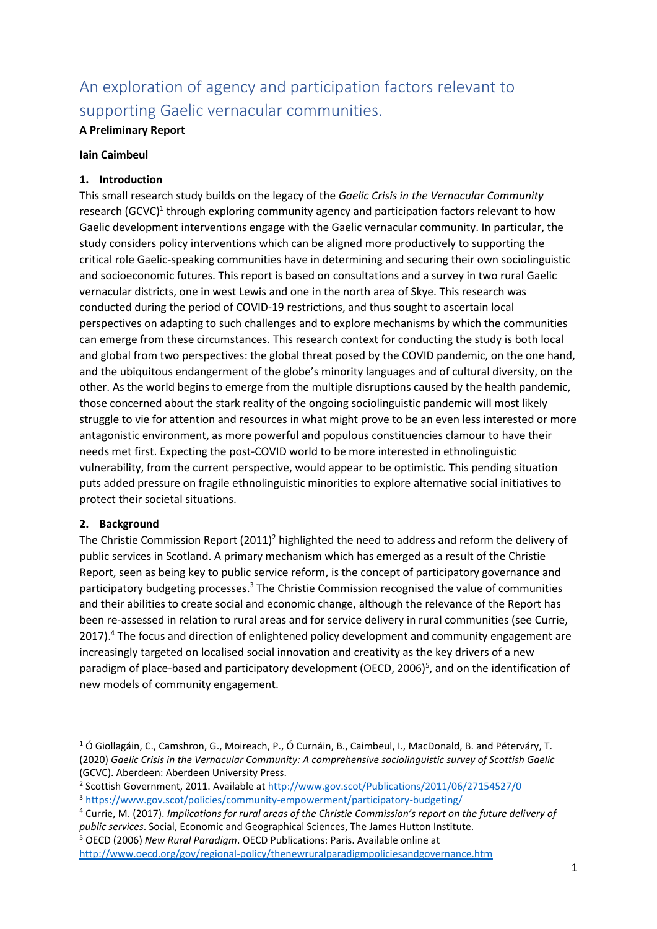# An exploration of agency and participation factors relevant to supporting Gaelic vernacular communities.

## **A Preliminary Report**

### **Iain Caimbeul**

## **1. Introduction**

This small research study builds on the legacy of the *Gaelic Crisis in the Vernacular Community* research (GCVC)<sup>1</sup> through exploring community agency and participation factors relevant to how Gaelic development interventions engage with the Gaelic vernacular community. In particular, the study considers policy interventions which can be aligned more productively to supporting the critical role Gaelic-speaking communities have in determining and securing their own sociolinguistic and socioeconomic futures. This report is based on consultations and a survey in two rural Gaelic vernacular districts, one in west Lewis and one in the north area of Skye. This research was conducted during the period of COVID-19 restrictions, and thus sought to ascertain local perspectives on adapting to such challenges and to explore mechanisms by which the communities can emerge from these circumstances. This research context for conducting the study is both local and global from two perspectives: the global threat posed by the COVID pandemic, on the one hand, and the ubiquitous endangerment of the globe's minority languages and of cultural diversity, on the other. As the world begins to emerge from the multiple disruptions caused by the health pandemic, those concerned about the stark reality of the ongoing sociolinguistic pandemic will most likely struggle to vie for attention and resources in what might prove to be an even less interested or more antagonistic environment, as more powerful and populous constituencies clamour to have their needs met first. Expecting the post-COVID world to be more interested in ethnolinguistic vulnerability, from the current perspective, would appear to be optimistic. This pending situation puts added pressure on fragile ethnolinguistic minorities to explore alternative social initiatives to protect their societal situations.

## **2. Background**

The Christie Commission Report (2011)<sup>2</sup> highlighted the need to address and reform the delivery of public services in Scotland. A primary mechanism which has emerged as a result of the Christie Report, seen as being key to public service reform, is the concept of participatory governance and participatory budgeting processes.<sup>3</sup> The Christie Commission recognised the value of communities and their abilities to create social and economic change, although the relevance of the Report has been re-assessed in relation to rural areas and for service delivery in rural communities (see Currie, 2017). <sup>4</sup> The focus and direction of enlightened policy development and community engagement are increasingly targeted on localised social innovation and creativity as the key drivers of a new paradigm of place-based and participatory development (OECD, 2006)<sup>5</sup>, and on the identification of new models of community engagement.

<sup>5</sup> OECD (2006) *New Rural Paradigm*. OECD Publications: Paris. Available online at <http://www.oecd.org/gov/regional-policy/thenewruralparadigmpoliciesandgovernance.htm>

<sup>1</sup> Ó Giollagáin, C., Camshron, G., Moireach, P., Ó Curnáin, B., Caimbeul, I., MacDonald, B. and Péterváry, T. (2020) *Gaelic Crisis in the Vernacular Community: A comprehensive sociolinguistic survey of Scottish Gaelic* (GCVC). Aberdeen: Aberdeen University Press.

<sup>&</sup>lt;sup>2</sup> Scottish Government, 2011. Available at<http://www.gov.scot/Publications/2011/06/27154527/0> <sup>3</sup> <https://www.gov.scot/policies/community-empowerment/participatory-budgeting/>

<sup>4</sup> Currie, M. (2017). *Implications for rural areas of the Christie Commission's report on the future delivery of public services*. Social, Economic and Geographical Sciences, The James Hutton Institute.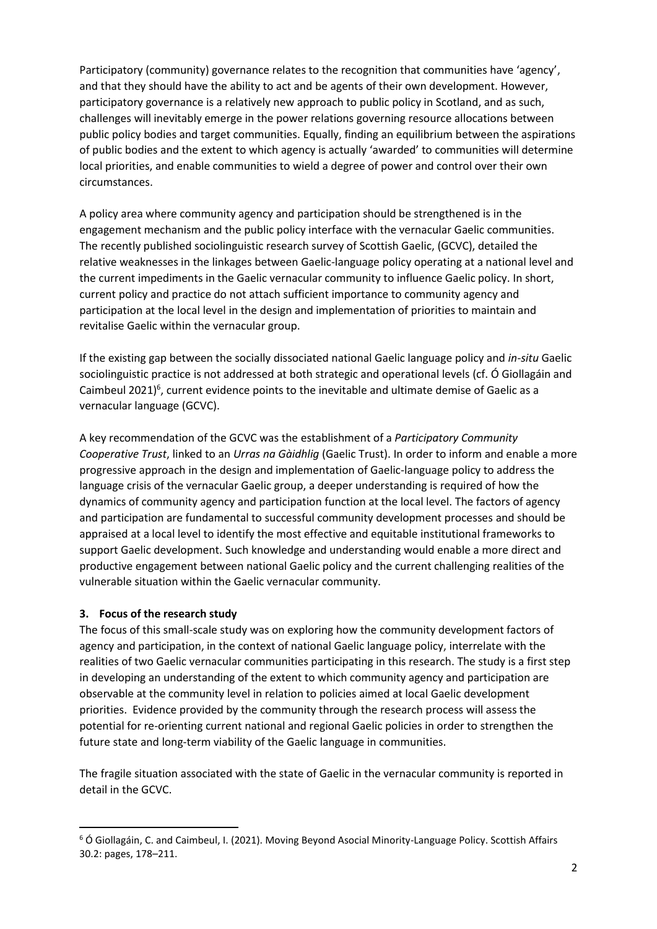Participatory (community) governance relates to the recognition that communities have 'agency', and that they should have the ability to act and be agents of their own development. However, participatory governance is a relatively new approach to public policy in Scotland, and as such, challenges will inevitably emerge in the power relations governing resource allocations between public policy bodies and target communities. Equally, finding an equilibrium between the aspirations of public bodies and the extent to which agency is actually 'awarded' to communities will determine local priorities, and enable communities to wield a degree of power and control over their own circumstances.

A policy area where community agency and participation should be strengthened is in the engagement mechanism and the public policy interface with the vernacular Gaelic communities. The recently published sociolinguistic research survey of Scottish Gaelic, (GCVC), detailed the relative weaknesses in the linkages between Gaelic-language policy operating at a national level and the current impediments in the Gaelic vernacular community to influence Gaelic policy. In short, current policy and practice do not attach sufficient importance to community agency and participation at the local level in the design and implementation of priorities to maintain and revitalise Gaelic within the vernacular group.

If the existing gap between the socially dissociated national Gaelic language policy and *in-situ* Gaelic sociolinguistic practice is not addressed at both strategic and operational levels (cf. Ó Giollagáin and Caimbeul 2021)<sup>6</sup>, current evidence points to the inevitable and ultimate demise of Gaelic as a vernacular language (GCVC).

A key recommendation of the GCVC was the establishment of a *Participatory Community Cooperative Trust*, linked to an *Urras na Gàidhlig* (Gaelic Trust). In order to inform and enable a more progressive approach in the design and implementation of Gaelic-language policy to address the language crisis of the vernacular Gaelic group, a deeper understanding is required of how the dynamics of community agency and participation function at the local level. The factors of agency and participation are fundamental to successful community development processes and should be appraised at a local level to identify the most effective and equitable institutional frameworks to support Gaelic development. Such knowledge and understanding would enable a more direct and productive engagement between national Gaelic policy and the current challenging realities of the vulnerable situation within the Gaelic vernacular community.

#### **3. Focus of the research study**

The focus of this small-scale study was on exploring how the community development factors of agency and participation, in the context of national Gaelic language policy, interrelate with the realities of two Gaelic vernacular communities participating in this research. The study is a first step in developing an understanding of the extent to which community agency and participation are observable at the community level in relation to policies aimed at local Gaelic development priorities. Evidence provided by the community through the research process will assess the potential for re-orienting current national and regional Gaelic policies in order to strengthen the future state and long-term viability of the Gaelic language in communities.

The fragile situation associated with the state of Gaelic in the vernacular community is reported in detail in the GCVC.

<sup>6</sup> Ó Giollagáin, C. and Caimbeul, I. (2021). Moving Beyond Asocial Minority-Language Policy. Scottish Affairs 30.2: pages, 178–211.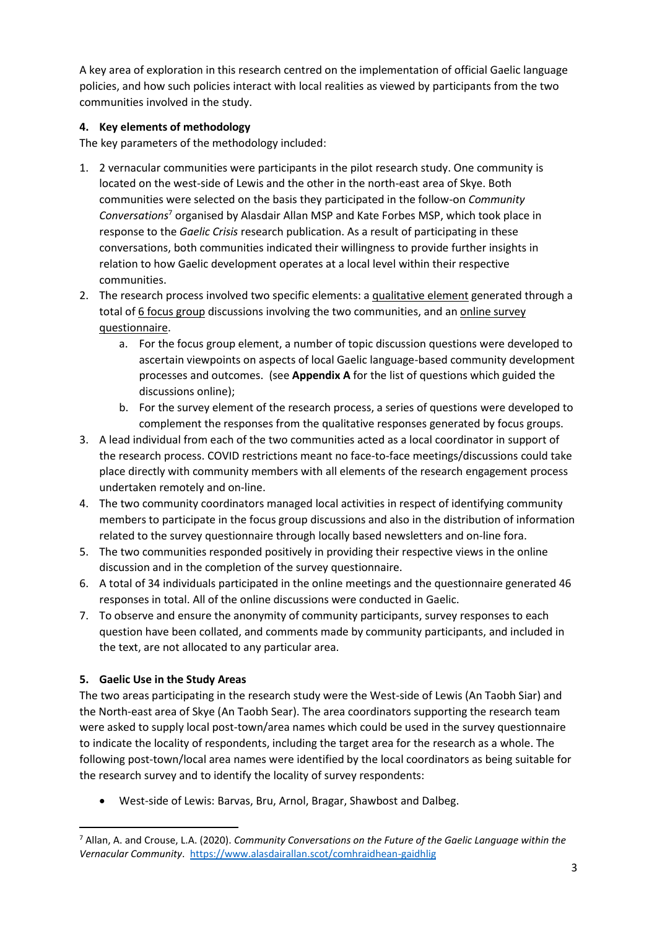A key area of exploration in this research centred on the implementation of official Gaelic language policies, and how such policies interact with local realities as viewed by participants from the two communities involved in the study.

## **4. Key elements of methodology**

The key parameters of the methodology included:

- 1. 2 vernacular communities were participants in the pilot research study. One community is located on the west-side of Lewis and the other in the north-east area of Skye. Both communities were selected on the basis they participated in the follow-on *Community Conversations*<sup>7</sup> organised by Alasdair Allan MSP and Kate Forbes MSP, which took place in response to the *Gaelic Crisis* research publication. As a result of participating in these conversations, both communities indicated their willingness to provide further insights in relation to how Gaelic development operates at a local level within their respective communities.
- 2. The research process involved two specific elements: a qualitative element generated through a total of 6 focus group discussions involving the two communities, and an online survey questionnaire.
	- a. For the focus group element, a number of topic discussion questions were developed to ascertain viewpoints on aspects of local Gaelic language-based community development processes and outcomes. (see **Appendix A** for the list of questions which guided the discussions online);
	- b. For the survey element of the research process, a series of questions were developed to complement the responses from the qualitative responses generated by focus groups.
- 3. A lead individual from each of the two communities acted as a local coordinator in support of the research process. COVID restrictions meant no face-to-face meetings/discussions could take place directly with community members with all elements of the research engagement process undertaken remotely and on-line.
- 4. The two community coordinators managed local activities in respect of identifying community members to participate in the focus group discussions and also in the distribution of information related to the survey questionnaire through locally based newsletters and on-line fora.
- 5. The two communities responded positively in providing their respective views in the online discussion and in the completion of the survey questionnaire.
- 6. A total of 34 individuals participated in the online meetings and the questionnaire generated 46 responses in total. All of the online discussions were conducted in Gaelic.
- 7. To observe and ensure the anonymity of community participants, survey responses to each question have been collated, and comments made by community participants, and included in the text, are not allocated to any particular area.

## **5. Gaelic Use in the Study Areas**

The two areas participating in the research study were the West-side of Lewis (An Taobh Siar) and the North-east area of Skye (An Taobh Sear). The area coordinators supporting the research team were asked to supply local post-town/area names which could be used in the survey questionnaire to indicate the locality of respondents, including the target area for the research as a whole. The following post-town/local area names were identified by the local coordinators as being suitable for the research survey and to identify the locality of survey respondents:

• West-side of Lewis: Barvas, Bru, Arnol, Bragar, Shawbost and Dalbeg.

<sup>7</sup> Allan, A. and Crouse, L.A. (2020). *Community Conversations on the Future of the Gaelic Language within the Vernacular Community*. <https://www.alasdairallan.scot/comhraidhean-gaidhlig>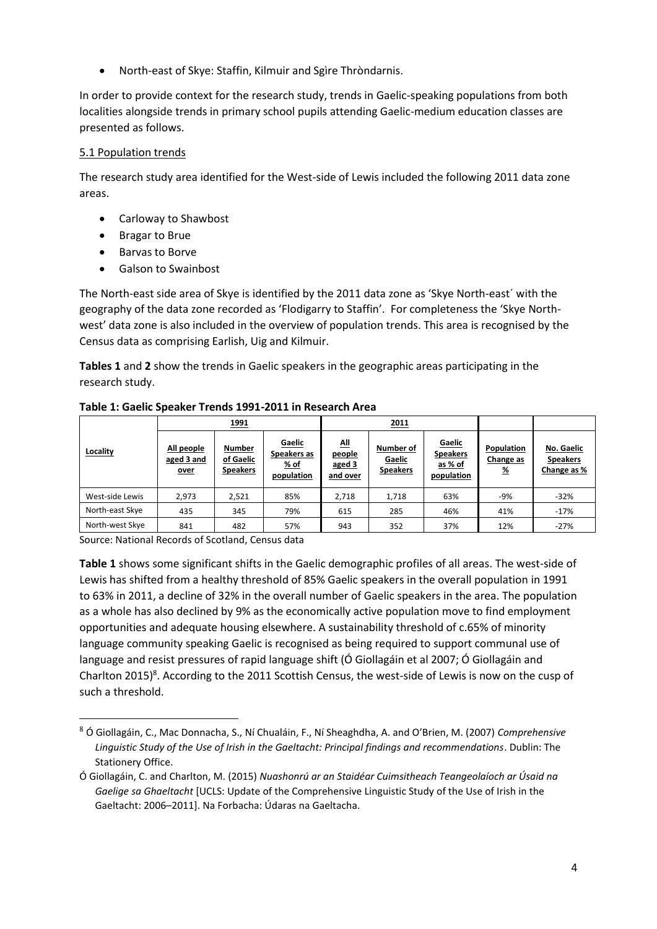• North-east of Skye: Staffin, Kilmuir and Sgìre Thròndarnis.

In order to provide context for the research study, trends in Gaelic-speaking populations from both localities alongside trends in primary school pupils attending Gaelic-medium education classes are presented as follows.

## 5.1 Population trends

The research study area identified for the West-side of Lewis included the following 2011 data zone areas.

- Carloway to Shawbost
- Bragar to Brue
- Barvas to Borve
- Galson to Swainbost

The North-east side area of Skye is identified by the 2011 data zone as 'Skye North-east´ with the geography of the data zone recorded as 'Flodigarry to Staffin'. For completeness the 'Skye Northwest' data zone is also included in the overview of population trends. This area is recognised by the Census data as comprising Earlish, Uig and Kilmuir.

**Tables 1** and **2** show the trends in Gaelic speakers in the geographic areas participating in the research study.

|                 |                                  | <u>1991</u>                            |                                               |                                          | 2011                                   |                                                    |                                          |                                              |
|-----------------|----------------------------------|----------------------------------------|-----------------------------------------------|------------------------------------------|----------------------------------------|----------------------------------------------------|------------------------------------------|----------------------------------------------|
| Locality        | All people<br>aged 3 and<br>over | Number<br>of Gaelic<br><b>Speakers</b> | Gaelic<br>Speakers as<br>$%$ of<br>population | ᄱ<br><u>people</u><br>aged 3<br>and over | Number of<br>Gaelic<br><b>Speakers</b> | Gaelic<br><b>Speakers</b><br>as % of<br>population | Population<br>Change as<br>$\frac{9}{6}$ | No. Gaelic<br><b>Speakers</b><br>Change as % |
| West-side Lewis | 2.973                            | 2,521                                  | 85%                                           | 2.718                                    | 1,718                                  | 63%                                                | -9%                                      | $-32%$                                       |
| North-east Skye | 435                              | 345                                    | 79%                                           | 615                                      | 285                                    | 46%                                                | 41%                                      | $-17%$                                       |
| North-west Skye | 841                              | 482                                    | 57%                                           | 943                                      | 352                                    | 37%                                                | 12%                                      | $-27%$                                       |

**Table 1: Gaelic Speaker Trends 1991-2011 in Research Area**

Source: National Records of Scotland, Census data

**Table 1** shows some significant shifts in the Gaelic demographic profiles of all areas. The west-side of Lewis has shifted from a healthy threshold of 85% Gaelic speakers in the overall population in 1991 to 63% in 2011, a decline of 32% in the overall number of Gaelic speakers in the area. The population as a whole has also declined by 9% as the economically active population move to find employment opportunities and adequate housing elsewhere. A sustainability threshold of c.65% of minority language community speaking Gaelic is recognised as being required to support communal use of language and resist pressures of rapid language shift (Ó Giollagáin et al 2007; Ó Giollagáin and Charlton 2015)<sup>8</sup>. According to the 2011 Scottish Census, the west-side of Lewis is now on the cusp of such a threshold.

<sup>8</sup> Ó Giollagáin, C., Mac Donnacha, S., Ní Chualáin, F., Ní Sheaghdha, A. and O'Brien, M. (2007) *Comprehensive Linguistic Study of the Use of Irish in the Gaeltacht: Principal findings and recommendations*. Dublin: The Stationery Office.

Ó Giollagáin, C. and Charlton, M. (2015) *Nuashonrú ar an Staidéar Cuimsitheach Teangeolaíoch ar Úsaid na Gaelige sa Ghaeltacht* [UCLS: Update of the Comprehensive Linguistic Study of the Use of Irish in the Gaeltacht: 2006–2011]. Na Forbacha: Údaras na Gaeltacha.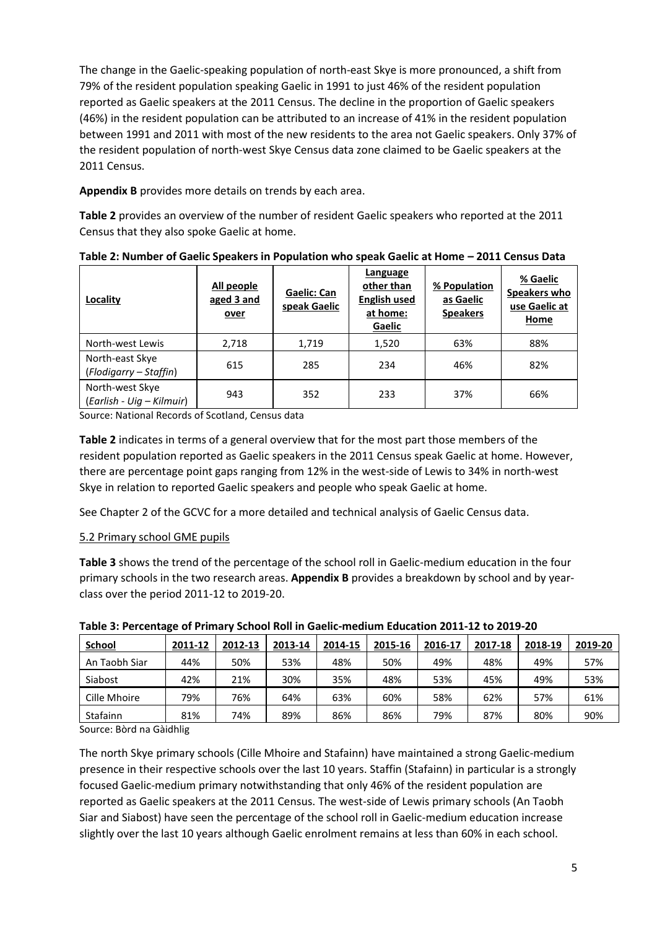The change in the Gaelic-speaking population of north-east Skye is more pronounced, a shift from 79% of the resident population speaking Gaelic in 1991 to just 46% of the resident population reported as Gaelic speakers at the 2011 Census. The decline in the proportion of Gaelic speakers (46%) in the resident population can be attributed to an increase of 41% in the resident population between 1991 and 2011 with most of the new residents to the area not Gaelic speakers. Only 37% of the resident population of north-west Skye Census data zone claimed to be Gaelic speakers at the 2011 Census.

**Appendix B** provides more details on trends by each area.

**Table 2** provides an overview of the number of resident Gaelic speakers who reported at the 2011 Census that they also spoke Gaelic at home.

| Locality                                     | All people<br>aged 3 and<br>over | <b>Gaelic: Can</b><br>speak Gaelic | Language<br>other than<br><b>English used</b><br>at home:<br>Gaelic | % Population<br>as Gaelic<br><b>Speakers</b> | % Gaelic<br>Speakers who<br>use Gaelic at<br>Home |  |
|----------------------------------------------|----------------------------------|------------------------------------|---------------------------------------------------------------------|----------------------------------------------|---------------------------------------------------|--|
| North-west Lewis                             | 2,718                            | 1,719                              | 1,520                                                               | 63%                                          | 88%                                               |  |
| North-east Skye<br>(Flodigarry - Staffin)    | 615                              | 285                                | 234                                                                 | 46%                                          | 82%                                               |  |
| North-west Skye<br>(Earlish - Uig – Kilmuir) | 943                              | 352                                | 233                                                                 | 37%                                          | 66%                                               |  |

**Table 2: Number of Gaelic Speakers in Population who speak Gaelic at Home – 2011 Census Data**

Source: National Records of Scotland, Census data

**Table 2** indicates in terms of a general overview that for the most part those members of the resident population reported as Gaelic speakers in the 2011 Census speak Gaelic at home. However, there are percentage point gaps ranging from 12% in the west-side of Lewis to 34% in north-west Skye in relation to reported Gaelic speakers and people who speak Gaelic at home.

See Chapter 2 of the GCVC for a more detailed and technical analysis of Gaelic Census data.

## 5.2 Primary school GME pupils

**Table 3** shows the trend of the percentage of the school roll in Gaelic-medium education in the four primary schools in the two research areas. **Appendix B** provides a breakdown by school and by yearclass over the period 2011-12 to 2019-20.

| <b>School</b> | 2011-12 | 2012-13 | 2013-14 | 2014-15 | 2015-16 | 2016-17 | 2017-18 | 2018-19 | 2019-20 |
|---------------|---------|---------|---------|---------|---------|---------|---------|---------|---------|
| An Taobh Siar | 44%     | 50%     | 53%     | 48%     | 50%     | 49%     | 48%     | 49%     | 57%     |
| Siabost       | 42%     | 21%     | 30%     | 35%     | 48%     | 53%     | 45%     | 49%     | 53%     |
| Cille Mhoire  | 79%     | 76%     | 64%     | 63%     | 60%     | 58%     | 62%     | 57%     | 61%     |
| Stafainn      | 81%     | 74%     | 89%     | 86%     | 86%     | 79%     | 87%     | 80%     | 90%     |

**Table 3: Percentage of Primary School Roll in Gaelic-medium Education 2011-12 to 2019-20**

Source: Bòrd na Gàidhlig

The north Skye primary schools (Cille Mhoire and Stafainn) have maintained a strong Gaelic-medium presence in their respective schools over the last 10 years. Staffin (Stafainn) in particular is a strongly focused Gaelic-medium primary notwithstanding that only 46% of the resident population are reported as Gaelic speakers at the 2011 Census. The west-side of Lewis primary schools (An Taobh Siar and Siabost) have seen the percentage of the school roll in Gaelic-medium education increase slightly over the last 10 years although Gaelic enrolment remains at less than 60% in each school.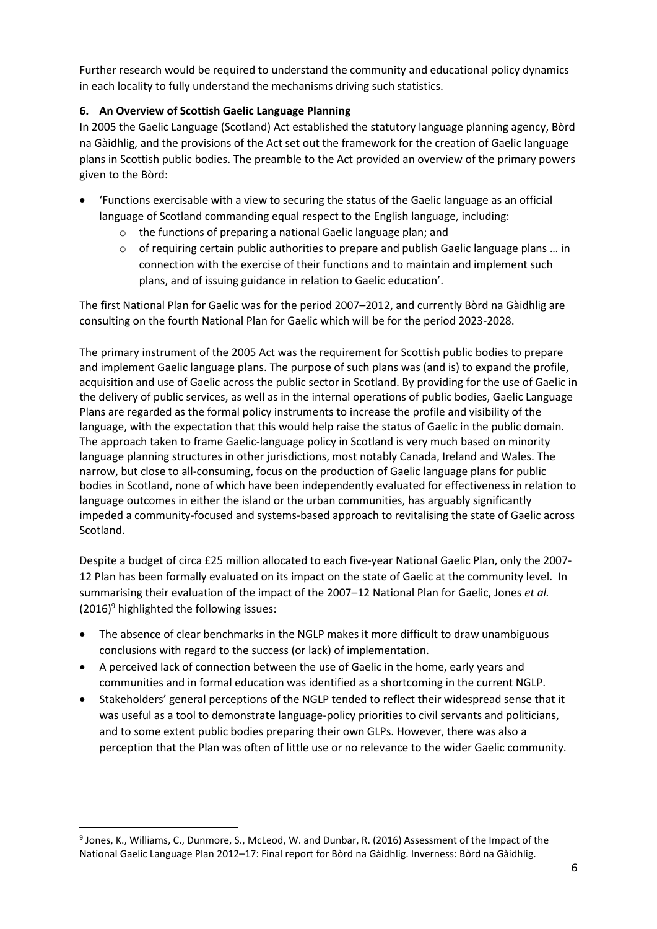Further research would be required to understand the community and educational policy dynamics in each locality to fully understand the mechanisms driving such statistics.

## **6. An Overview of Scottish Gaelic Language Planning**

In 2005 the Gaelic Language (Scotland) Act established the statutory language planning agency, Bòrd na Gàidhlig, and the provisions of the Act set out the framework for the creation of Gaelic language plans in Scottish public bodies. The preamble to the Act provided an overview of the primary powers given to the Bòrd:

- 'Functions exercisable with a view to securing the status of the Gaelic language as an official language of Scotland commanding equal respect to the English language, including:
	- o the functions of preparing a national Gaelic language plan; and
	- $\circ$  of requiring certain public authorities to prepare and publish Gaelic language plans ... in connection with the exercise of their functions and to maintain and implement such plans, and of issuing guidance in relation to Gaelic education'.

The first National Plan for Gaelic was for the period 2007–2012, and currently Bòrd na Gàidhlig are consulting on the fourth National Plan for Gaelic which will be for the period 2023-2028.

The primary instrument of the 2005 Act was the requirement for Scottish public bodies to prepare and implement Gaelic language plans. The purpose of such plans was (and is) to expand the profile, acquisition and use of Gaelic across the public sector in Scotland. By providing for the use of Gaelic in the delivery of public services, as well as in the internal operations of public bodies, Gaelic Language Plans are regarded as the formal policy instruments to increase the profile and visibility of the language, with the expectation that this would help raise the status of Gaelic in the public domain. The approach taken to frame Gaelic-language policy in Scotland is very much based on minority language planning structures in other jurisdictions, most notably Canada, Ireland and Wales. The narrow, but close to all-consuming, focus on the production of Gaelic language plans for public bodies in Scotland, none of which have been independently evaluated for effectiveness in relation to language outcomes in either the island or the urban communities, has arguably significantly impeded a community-focused and systems-based approach to revitalising the state of Gaelic across Scotland.

Despite a budget of circa £25 million allocated to each five-year National Gaelic Plan, only the 2007- 12 Plan has been formally evaluated on its impact on the state of Gaelic at the community level. In summarising their evaluation of the impact of the 2007–12 National Plan for Gaelic, Jones *et al.*  $(2016)^9$  highlighted the following issues:

- The absence of clear benchmarks in the NGLP makes it more difficult to draw unambiguous conclusions with regard to the success (or lack) of implementation.
- A perceived lack of connection between the use of Gaelic in the home, early years and communities and in formal education was identified as a shortcoming in the current NGLP.
- Stakeholders' general perceptions of the NGLP tended to reflect their widespread sense that it was useful as a tool to demonstrate language-policy priorities to civil servants and politicians, and to some extent public bodies preparing their own GLPs. However, there was also a perception that the Plan was often of little use or no relevance to the wider Gaelic community.

<sup>&</sup>lt;sup>9</sup> Jones, K., Williams, C., Dunmore, S., McLeod, W. and Dunbar, R. (2016) Assessment of the Impact of the National Gaelic Language Plan 2012–17: Final report for Bòrd na Gàidhlig. Inverness: Bòrd na Gàidhlig.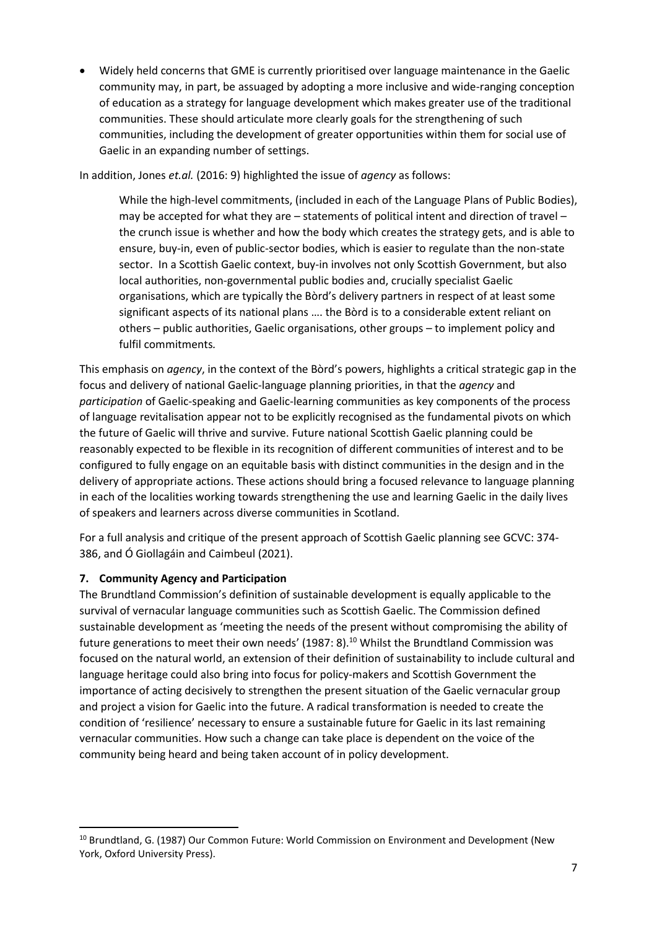• Widely held concerns that GME is currently prioritised over language maintenance in the Gaelic community may, in part, be assuaged by adopting a more inclusive and wide-ranging conception of education as a strategy for language development which makes greater use of the traditional communities. These should articulate more clearly goals for the strengthening of such communities, including the development of greater opportunities within them for social use of Gaelic in an expanding number of settings.

In addition, Jones *et.al.* (2016: 9) highlighted the issue of *agency* as follows:

While the high-level commitments, (included in each of the Language Plans of Public Bodies), may be accepted for what they are – statements of political intent and direction of travel – the crunch issue is whether and how the body which creates the strategy gets, and is able to ensure, buy-in, even of public-sector bodies, which is easier to regulate than the non-state sector. In a Scottish Gaelic context, buy-in involves not only Scottish Government, but also local authorities, non-governmental public bodies and, crucially specialist Gaelic organisations, which are typically the Bòrd's delivery partners in respect of at least some significant aspects of its national plans …. the Bòrd is to a considerable extent reliant on others – public authorities, Gaelic organisations, other groups – to implement policy and fulfil commitments*.* 

This emphasis on *agency*, in the context of the Bòrd's powers, highlights a critical strategic gap in the focus and delivery of national Gaelic-language planning priorities, in that the *agency* and *participation* of Gaelic-speaking and Gaelic-learning communities as key components of the process of language revitalisation appear not to be explicitly recognised as the fundamental pivots on which the future of Gaelic will thrive and survive. Future national Scottish Gaelic planning could be reasonably expected to be flexible in its recognition of different communities of interest and to be configured to fully engage on an equitable basis with distinct communities in the design and in the delivery of appropriate actions. These actions should bring a focused relevance to language planning in each of the localities working towards strengthening the use and learning Gaelic in the daily lives of speakers and learners across diverse communities in Scotland.

For a full analysis and critique of the present approach of Scottish Gaelic planning see GCVC: 374- 386, and Ó Giollagáin and Caimbeul (2021).

## **7. Community Agency and Participation**

The Brundtland Commission's definition of sustainable development is equally applicable to the survival of vernacular language communities such as Scottish Gaelic. The Commission defined sustainable development as 'meeting the needs of the present without compromising the ability of future generations to meet their own needs' (1987: 8).<sup>10</sup> Whilst the Brundtland Commission was focused on the natural world, an extension of their definition of sustainability to include cultural and language heritage could also bring into focus for policy-makers and Scottish Government the importance of acting decisively to strengthen the present situation of the Gaelic vernacular group and project a vision for Gaelic into the future. A radical transformation is needed to create the condition of 'resilience' necessary to ensure a sustainable future for Gaelic in its last remaining vernacular communities. How such a change can take place is dependent on the voice of the community being heard and being taken account of in policy development.

<sup>&</sup>lt;sup>10</sup> Brundtland, G. (1987) Our Common Future: World Commission on Environment and Development (New York, Oxford University Press).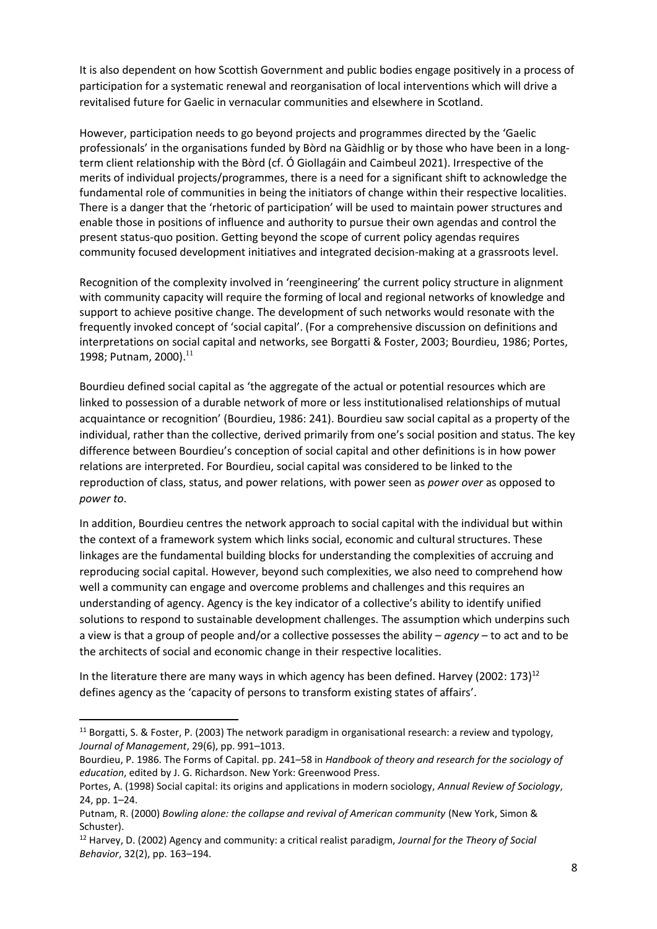It is also dependent on how Scottish Government and public bodies engage positively in a process of participation for a systematic renewal and reorganisation of local interventions which will drive a revitalised future for Gaelic in vernacular communities and elsewhere in Scotland.

However, participation needs to go beyond projects and programmes directed by the 'Gaelic professionals' in the organisations funded by Bòrd na Gàidhlig or by those who have been in a longterm client relationship with the Bòrd (cf. Ó Giollagáin and Caimbeul 2021). Irrespective of the merits of individual projects/programmes, there is a need for a significant shift to acknowledge the fundamental role of communities in being the initiators of change within their respective localities. There is a danger that the 'rhetoric of participation' will be used to maintain power structures and enable those in positions of influence and authority to pursue their own agendas and control the present status-quo position. Getting beyond the scope of current policy agendas requires community focused development initiatives and integrated decision-making at a grassroots level.

Recognition of the complexity involved in 'reengineering' the current policy structure in alignment with community capacity will require the forming of local and regional networks of knowledge and support to achieve positive change. The development of such networks would resonate with the frequently invoked concept of 'social capital'. (For a comprehensive discussion on definitions and interpretations on social capital and networks, see Borgatti & Foster, 2003; Bourdieu, 1986; Portes, 1998; Putnam, 2000). 11

Bourdieu defined social capital as 'the aggregate of the actual or potential resources which are linked to possession of a durable network of more or less institutionalised relationships of mutual acquaintance or recognition' (Bourdieu, 1986: 241). Bourdieu saw social capital as a property of the individual, rather than the collective, derived primarily from one's social position and status. The key difference between Bourdieu's conception of social capital and other definitions is in how power relations are interpreted. For Bourdieu, social capital was considered to be linked to the reproduction of class, status, and power relations, with power seen as *power over* as opposed to *power to*.

In addition, Bourdieu centres the network approach to social capital with the individual but within the context of a framework system which links social, economic and cultural structures. These linkages are the fundamental building blocks for understanding the complexities of accruing and reproducing social capital. However, beyond such complexities, we also need to comprehend how well a community can engage and overcome problems and challenges and this requires an understanding of agency. Agency is the key indicator of a collective's ability to identify unified solutions to respond to sustainable development challenges. The assumption which underpins such a view is that a group of people and/or a collective possesses the ability – *agency* – to act and to be the architects of social and economic change in their respective localities.

In the literature there are many ways in which agency has been defined. Harvey (2002: 173)<sup>12</sup> defines agency as the 'capacity of persons to transform existing states of affairs'.

<sup>11</sup> Borgatti, S. & Foster, P. (2003) The network paradigm in organisational research: a review and typology, *Journal of Management*, 29(6), pp. 991–1013.

Bourdieu, P. 1986. The Forms of Capital. pp. 241–58 in *Handbook of theory and research for the sociology of education*, edited by J. G. Richardson. New York: Greenwood Press.

Portes, A. (1998) Social capital: its origins and applications in modern sociology, *Annual Review of Sociology*, 24, pp. 1–24.

Putnam, R. (2000) *Bowling alone: the collapse and revival of American community* (New York, Simon & Schuster).

<sup>12</sup> Harvey, D. (2002) Agency and community: a critical realist paradigm, *Journal for the Theory of Social Behavior*, 32(2), pp. 163–194.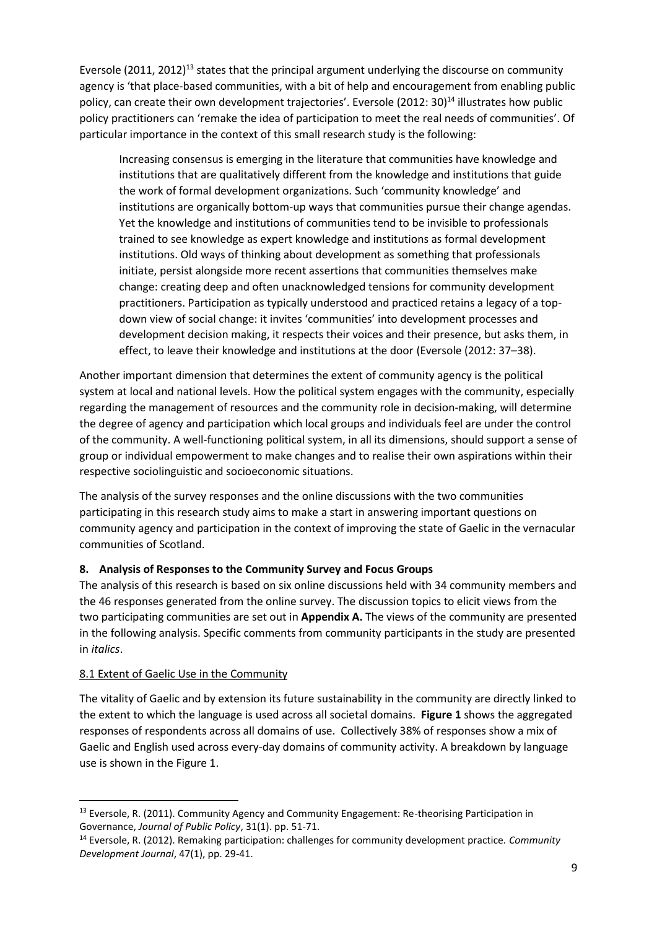Eversole (2011, 2012)<sup>13</sup> states that the principal argument underlying the discourse on community agency is 'that place-based communities, with a bit of help and encouragement from enabling public policy, can create their own development trajectories'. Eversole (2012: 30)<sup>14</sup> illustrates how public policy practitioners can 'remake the idea of participation to meet the real needs of communities'. Of particular importance in the context of this small research study is the following:

Increasing consensus is emerging in the literature that communities have knowledge and institutions that are qualitatively different from the knowledge and institutions that guide the work of formal development organizations. Such 'community knowledge' and institutions are organically bottom-up ways that communities pursue their change agendas. Yet the knowledge and institutions of communities tend to be invisible to professionals trained to see knowledge as expert knowledge and institutions as formal development institutions. Old ways of thinking about development as something that professionals initiate, persist alongside more recent assertions that communities themselves make change: creating deep and often unacknowledged tensions for community development practitioners. Participation as typically understood and practiced retains a legacy of a topdown view of social change: it invites 'communities' into development processes and development decision making, it respects their voices and their presence, but asks them, in effect, to leave their knowledge and institutions at the door (Eversole (2012: 37–38).

Another important dimension that determines the extent of community agency is the political system at local and national levels. How the political system engages with the community, especially regarding the management of resources and the community role in decision-making, will determine the degree of agency and participation which local groups and individuals feel are under the control of the community. A well-functioning political system, in all its dimensions, should support a sense of group or individual empowerment to make changes and to realise their own aspirations within their respective sociolinguistic and socioeconomic situations.

The analysis of the survey responses and the online discussions with the two communities participating in this research study aims to make a start in answering important questions on community agency and participation in the context of improving the state of Gaelic in the vernacular communities of Scotland.

## **8. Analysis of Responses to the Community Survey and Focus Groups**

The analysis of this research is based on six online discussions held with 34 community members and the 46 responses generated from the online survey. The discussion topics to elicit views from the two participating communities are set out in **Appendix A.** The views of the community are presented in the following analysis. Specific comments from community participants in the study are presented in *italics*.

## 8.1 Extent of Gaelic Use in the Community

The vitality of Gaelic and by extension its future sustainability in the community are directly linked to the extent to which the language is used across all societal domains. **Figure 1** shows the aggregated responses of respondents across all domains of use. Collectively 38% of responses show a mix of Gaelic and English used across every-day domains of community activity. A breakdown by language use is shown in the Figure 1.

<sup>&</sup>lt;sup>13</sup> Eversole, R. (2011). Community Agency and Community Engagement: Re-theorising Participation in Governance, *Journal of Public Policy*, 31(1). pp. 51-71.

<sup>14</sup> Eversole, R. (2012). Remaking participation: challenges for community development practice. *Community Development Journal*, 47(1), pp. 29-41.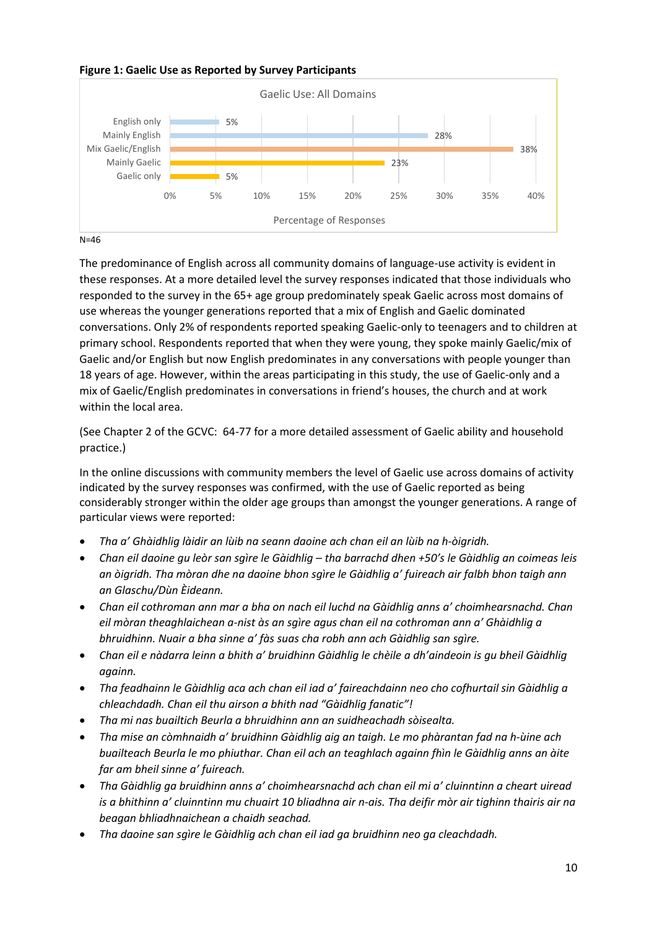### **Figure 1: Gaelic Use as Reported by Survey Participants**



N=46

The predominance of English across all community domains of language-use activity is evident in these responses. At a more detailed level the survey responses indicated that those individuals who responded to the survey in the 65+ age group predominately speak Gaelic across most domains of use whereas the younger generations reported that a mix of English and Gaelic dominated conversations. Only 2% of respondents reported speaking Gaelic-only to teenagers and to children at primary school. Respondents reported that when they were young, they spoke mainly Gaelic/mix of Gaelic and/or English but now English predominates in any conversations with people younger than 18 years of age. However, within the areas participating in this study, the use of Gaelic-only and a mix of Gaelic/English predominates in conversations in friend's houses, the church and at work within the local area.

(See Chapter 2 of the GCVC: 64-77 for a more detailed assessment of Gaelic ability and household practice.)

In the online discussions with community members the level of Gaelic use across domains of activity indicated by the survey responses was confirmed, with the use of Gaelic reported as being considerably stronger within the older age groups than amongst the younger generations. A range of particular views were reported:

- *Tha a' Ghàidhlig làidir an lùib na seann daoine ach chan eil an lùib na h-òigridh.*
- *Chan eil daoine gu leòr san sgìre le Gàidhlig – tha barrachd dhen +50's le Gàidhlig an coimeas leis an òigridh. Tha mòran dhe na daoine bhon sgìre le Gàidhlig a' fuireach air falbh bhon taigh ann an Glaschu/Dùn Èideann.*
- *Chan eil cothroman ann mar a bha on nach eil luchd na Gàidhlig anns a' choimhearsnachd. Chan eil mòran theaghlaichean a-nist às an sgìre agus chan eil na cothroman ann a' Ghàidhlig a bhruidhinn. Nuair a bha sinne a' fàs suas cha robh ann ach Gàidhlig san sgìre.*
- *Chan eil e nàdarra leinn a bhith a' bruidhinn Gàidhlig le chèile a dh'aindeoin is gu bheil Gàidhlig againn.*
- *Tha feadhainn le Gàidhlig aca ach chan eil iad a' faireachdainn neo cho cofhurtail sin Gàidhlig a chleachdadh. Chan eil thu airson a bhith nad "Gàidhlig fanatic"!*
- *Tha mi nas buailtich Beurla a bhruidhinn ann an suidheachadh sòisealta.*
- *Tha mise an còmhnaidh a' bruidhinn Gàidhlig aig an taigh. Le mo phàrantan fad na h-ùine ach buailteach Beurla le mo phiuthar. Chan eil ach an teaghlach againn fhìn le Gàidhlig anns an àite far am bheil sinne a' fuireach.*
- *Tha Gàidhlig ga bruidhinn anns a' choimhearsnachd ach chan eil mi a' cluinntinn a cheart uiread is a bhithinn a' cluinntinn mu chuairt 10 bliadhna air n-ais. Tha deifir mòr air tighinn thairis air na beagan bhliadhnaichean a chaidh seachad.*
- *Tha daoine san sgìre le Gàidhlig ach chan eil iad ga bruidhinn neo ga cleachdadh.*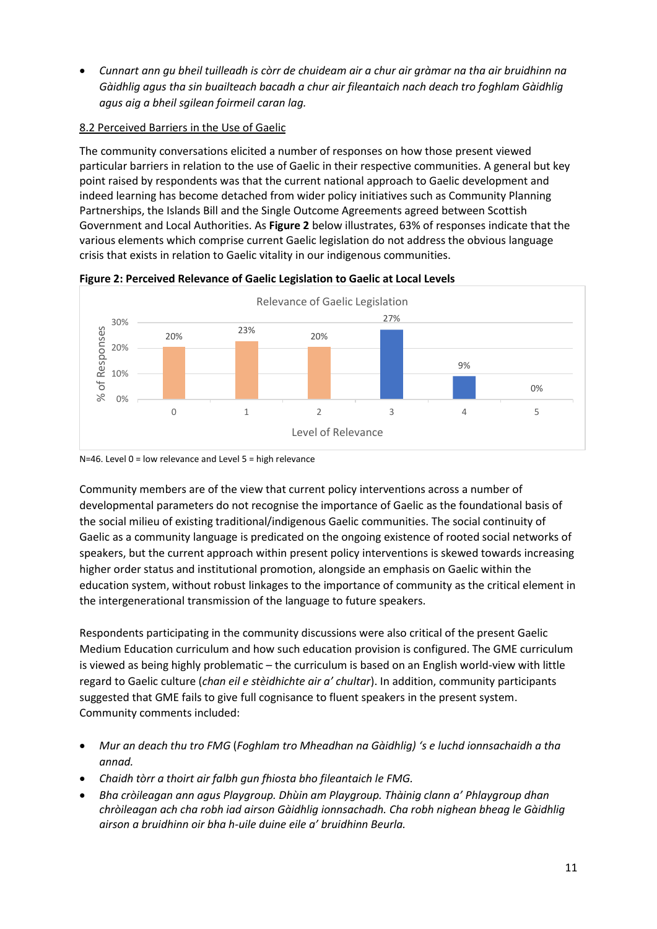• *Cunnart ann gu bheil tuilleadh is còrr de chuideam air a chur air gràmar na tha air bruidhinn na Gàidhlig agus tha sin buailteach bacadh a chur air fileantaich nach deach tro foghlam Gàidhlig agus aig a bheil sgilean foirmeil caran lag.*

## 8.2 Perceived Barriers in the Use of Gaelic

The community conversations elicited a number of responses on how those present viewed particular barriers in relation to the use of Gaelic in their respective communities. A general but key point raised by respondents was that the current national approach to Gaelic development and indeed learning has become detached from wider policy initiatives such as Community Planning Partnerships, the Islands Bill and the Single Outcome Agreements agreed between Scottish Government and Local Authorities. As **Figure 2** below illustrates, 63% of responses indicate that the various elements which comprise current Gaelic legislation do not address the obvious language crisis that exists in relation to Gaelic vitality in our indigenous communities.



**Figure 2: Perceived Relevance of Gaelic Legislation to Gaelic at Local Levels**

N=46. Level 0 = low relevance and Level 5 = high relevance

Community members are of the view that current policy interventions across a number of developmental parameters do not recognise the importance of Gaelic as the foundational basis of the social milieu of existing traditional/indigenous Gaelic communities. The social continuity of Gaelic as a community language is predicated on the ongoing existence of rooted social networks of speakers, but the current approach within present policy interventions is skewed towards increasing higher order status and institutional promotion, alongside an emphasis on Gaelic within the education system, without robust linkages to the importance of community as the critical element in the intergenerational transmission of the language to future speakers.

Respondents participating in the community discussions were also critical of the present Gaelic Medium Education curriculum and how such education provision is configured. The GME curriculum is viewed as being highly problematic – the curriculum is based on an English world-view with little regard to Gaelic culture (*chan eil e stèidhichte air a' chultar*). In addition, community participants suggested that GME fails to give full cognisance to fluent speakers in the present system. Community comments included:

- *Mur an deach thu tro FMG* (*Foghlam tro Mheadhan na Gàidhlig) 's e luchd ionnsachaidh a tha annad.*
- *Chaidh tòrr a thoirt air falbh gun fhiosta bho fileantaich le FMG.*
- *Bha cròileagan ann agus Playgroup. Dhùin am Playgroup. Thàinig clann a' Phlaygroup dhan chròileagan ach cha robh iad airson Gàidhlig ionnsachadh. Cha robh nighean bheag le Gàidhlig airson a bruidhinn oir bha h-uile duine eile a' bruidhinn Beurla.*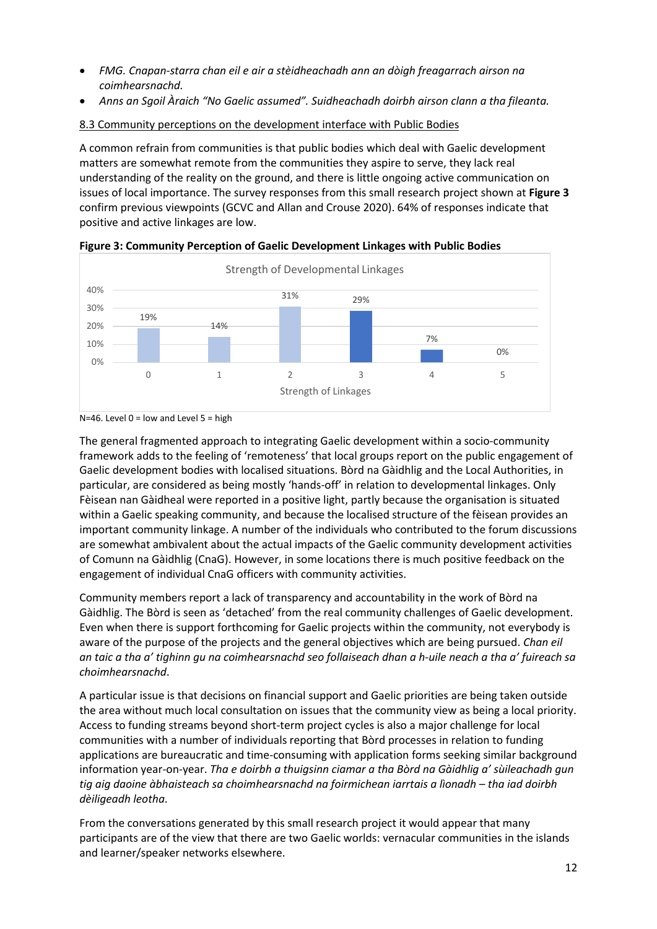- *FMG. Cnapan-starra chan eil e air a stèidheachadh ann an dòigh freagarrach airson na coimhearsnachd.*
- *Anns an Sgoil Àraich "No Gaelic assumed". Suidheachadh doirbh airson clann a tha fileanta.*

## 8.3 Community perceptions on the development interface with Public Bodies

A common refrain from communities is that public bodies which deal with Gaelic development matters are somewhat remote from the communities they aspire to serve, they lack real understanding of the reality on the ground, and there is little ongoing active communication on issues of local importance. The survey responses from this small research project shown at **Figure 3** confirm previous viewpoints (GCVC and Allan and Crouse 2020). 64% of responses indicate that positive and active linkages are low.



**Figure 3: Community Perception of Gaelic Development Linkages with Public Bodies**

The general fragmented approach to integrating Gaelic development within a socio-community framework adds to the feeling of 'remoteness' that local groups report on the public engagement of Gaelic development bodies with localised situations. Bòrd na Gàidhlig and the Local Authorities, in particular, are considered as being mostly 'hands-off' in relation to developmental linkages. Only Fèisean nan Gàidheal were reported in a positive light, partly because the organisation is situated within a Gaelic speaking community, and because the localised structure of the fèisean provides an important community linkage. A number of the individuals who contributed to the forum discussions are somewhat ambivalent about the actual impacts of the Gaelic community development activities of Comunn na Gàidhlig (CnaG). However, in some locations there is much positive feedback on the engagement of individual CnaG officers with community activities.

Community members report a lack of transparency and accountability in the work of Bòrd na Gàidhlig. The Bòrd is seen as 'detached' from the real community challenges of Gaelic development. Even when there is support forthcoming for Gaelic projects within the community, not everybody is aware of the purpose of the projects and the general objectives which are being pursued. *Chan eil an taic a tha a' tighinn gu na coimhearsnachd seo follaiseach dhan a h-uile neach a tha a' fuireach sa choimhearsnachd*.

A particular issue is that decisions on financial support and Gaelic priorities are being taken outside the area without much local consultation on issues that the community view as being a local priority. Access to funding streams beyond short-term project cycles is also a major challenge for local communities with a number of individuals reporting that Bòrd processes in relation to funding applications are bureaucratic and time-consuming with application forms seeking similar background information year-on-year. *Tha e doirbh a thuigsinn ciamar a tha Bòrd na Gàidhlig a' sùileachadh gun tig aig daoine àbhaisteach sa choimhearsnachd na foirmichean iarrtais a lìonadh – tha iad doirbh dèiligeadh leotha*.

From the conversations generated by this small research project it would appear that many participants are of the view that there are two Gaelic worlds: vernacular communities in the islands and learner/speaker networks elsewhere.

N=46. Level  $0 =$  low and Level  $5 =$  high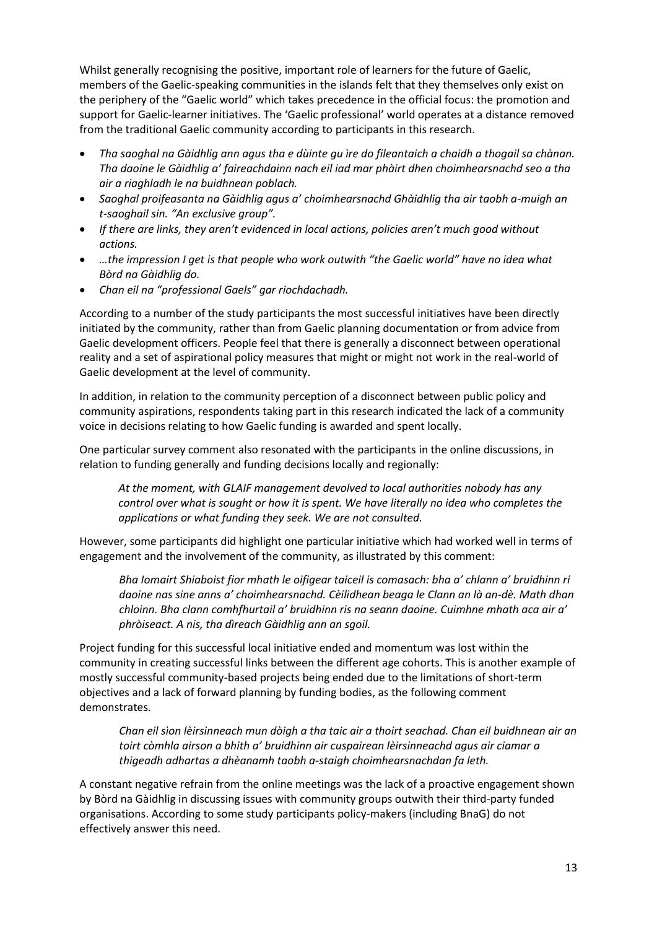Whilst generally recognising the positive, important role of learners for the future of Gaelic, members of the Gaelic-speaking communities in the islands felt that they themselves only exist on the periphery of the "Gaelic world" which takes precedence in the official focus: the promotion and support for Gaelic-learner initiatives. The 'Gaelic professional' world operates at a distance removed from the traditional Gaelic community according to participants in this research.

- *Tha saoghal na Gàidhlig ann agus tha e dùinte gu ìre do fileantaich a chaidh a thogail sa chànan. Tha daoine le Gàidhlig a' faireachdainn nach eil iad mar phàirt dhen choimhearsnachd seo a tha air a riaghladh le na buidhnean poblach.*
- *Saoghal proifeasanta na Gàidhlig agus a' choimhearsnachd Ghàidhlig tha air taobh a-muigh an t-saoghail sin. "An exclusive group".*
- *If there are links, they aren't evidenced in local actions, policies aren't much good without actions.*
- *…the impression I get is that people who work outwith "the Gaelic world" have no idea what Bòrd na Gàidhlig do.*
- *Chan eil na "professional Gaels" gar riochdachadh.*

According to a number of the study participants the most successful initiatives have been directly initiated by the community, rather than from Gaelic planning documentation or from advice from Gaelic development officers. People feel that there is generally a disconnect between operational reality and a set of aspirational policy measures that might or might not work in the real-world of Gaelic development at the level of community.

In addition, in relation to the community perception of a disconnect between public policy and community aspirations, respondents taking part in this research indicated the lack of a community voice in decisions relating to how Gaelic funding is awarded and spent locally.

One particular survey comment also resonated with the participants in the online discussions, in relation to funding generally and funding decisions locally and regionally:

*At the moment, with GLAIF management devolved to local authorities nobody has any control over what is sought or how it is spent. We have literally no idea who completes the applications or what funding they seek. We are not consulted.*

However, some participants did highlight one particular initiative which had worked well in terms of engagement and the involvement of the community, as illustrated by this comment:

*Bha Iomairt Shiaboist fior mhath le oifigear taiceil is comasach: bha a' chlann a' bruidhinn ri daoine nas sine anns a' choimhearsnachd. Cèilidhean beaga le Clann an là an-dè. Math dhan chloinn. Bha clann comhfhurtail a' bruidhinn ris na seann daoine. Cuimhne mhath aca air a' phròiseact. A nis, tha dìreach Gàidhlig ann an sgoil.* 

Project funding for this successful local initiative ended and momentum was lost within the community in creating successful links between the different age cohorts. This is another example of mostly successful community-based projects being ended due to the limitations of short-term objectives and a lack of forward planning by funding bodies, as the following comment demonstrates.

*Chan eil sìon lèirsinneach mun dòigh a tha taic air a thoirt seachad. Chan eil buidhnean air an toirt còmhla airson a bhith a' bruidhinn air cuspairean lèirsinneachd agus air ciamar a thigeadh adhartas a dhèanamh taobh a-staigh choimhearsnachdan fa leth.*

A constant negative refrain from the online meetings was the lack of a proactive engagement shown by Bòrd na Gàidhlig in discussing issues with community groups outwith their third-party funded organisations. According to some study participants policy-makers (including BnaG) do not effectively answer this need.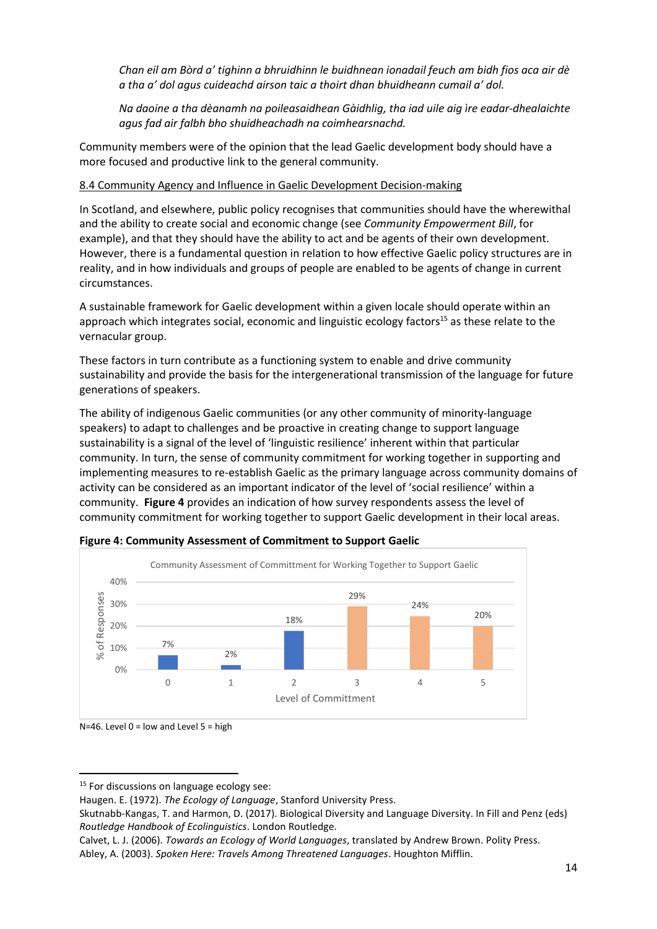*Chan eil am Bòrd a' tighinn a bhruidhinn le buidhnean ionadail feuch am bidh fios aca air dè a tha a' dol agus cuideachd airson taic a thoirt dhan bhuidheann cumail a' dol.* 

*Na daoine a tha dèanamh na poileasaidhean Gàidhlig, tha iad uile aig ìre eadar-dhealaichte agus fad air falbh bho shuidheachadh na coimhearsnachd.*

Community members were of the opinion that the lead Gaelic development body should have a more focused and productive link to the general community.

## 8.4 Community Agency and Influence in Gaelic Development Decision-making

In Scotland, and elsewhere, public policy recognises that communities should have the wherewithal and the ability to create social and economic change (see *Community Empowerment Bill*, for example), and that they should have the ability to act and be agents of their own development. However, there is a fundamental question in relation to how effective Gaelic policy structures are in reality, and in how individuals and groups of people are enabled to be agents of change in current circumstances.

A sustainable framework for Gaelic development within a given locale should operate within an approach which integrates social, economic and linguistic ecology factors<sup>15</sup> as these relate to the vernacular group.

These factors in turn contribute as a functioning system to enable and drive community sustainability and provide the basis for the intergenerational transmission of the language for future generations of speakers.

The ability of indigenous Gaelic communities (or any other community of minority-language speakers) to adapt to challenges and be proactive in creating change to support language sustainability is a signal of the level of 'linguistic resilience' inherent within that particular community. In turn, the sense of community commitment for working together in supporting and implementing measures to re-establish Gaelic as the primary language across community domains of activity can be considered as an important indicator of the level of 'social resilience' within a community. **Figure 4** provides an indication of how survey respondents assess the level of community commitment for working together to support Gaelic development in their local areas.





N=46. Level  $0 =$  low and Level  $5 =$  high

<sup>&</sup>lt;sup>15</sup> For discussions on language ecology see:

Haugen. E. (1972). *The Ecology of Language*, Stanford University Press.

Skutnabb-Kangas, T. and Harmon, D. (2017). Biological Diversity and Language Diversity. In Fill and Penz (eds) *Routledge Handbook of Ecolinguistics*. London Routledge.

Calvet, L. J. (2006). *Towards an Ecology of World Languages*, translated by Andrew Brown. Polity Press.

Abley, A. (2003). *Spoken Here: Travels Among Threatened Languages*. Houghton Mifflin.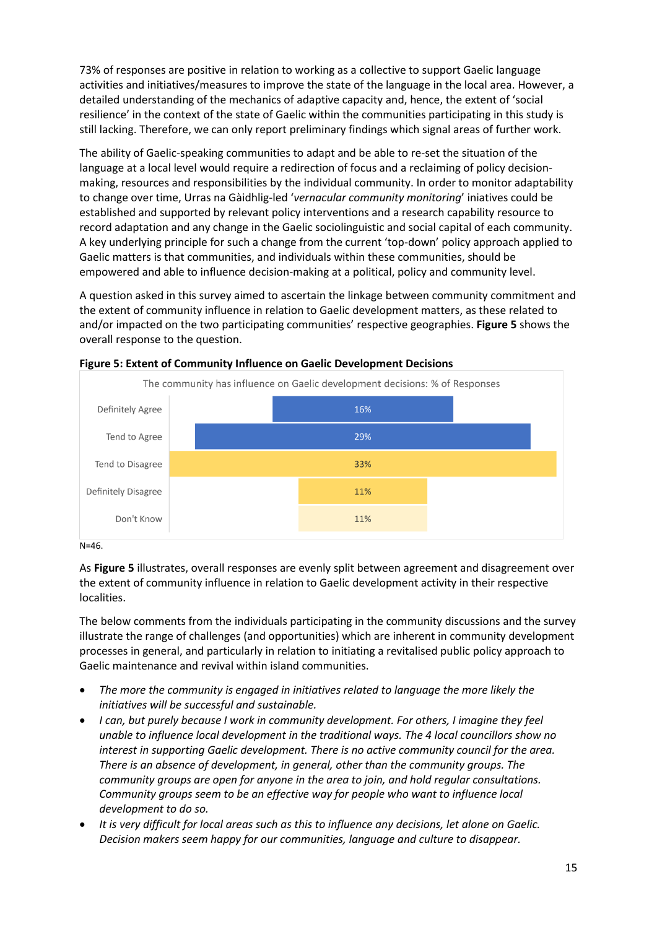73% of responses are positive in relation to working as a collective to support Gaelic language activities and initiatives/measures to improve the state of the language in the local area. However, a detailed understanding of the mechanics of adaptive capacity and, hence, the extent of 'social resilience' in the context of the state of Gaelic within the communities participating in this study is still lacking. Therefore, we can only report preliminary findings which signal areas of further work.

The ability of Gaelic-speaking communities to adapt and be able to re-set the situation of the language at a local level would require a redirection of focus and a reclaiming of policy decisionmaking, resources and responsibilities by the individual community. In order to monitor adaptability to change over time, Urras na Gàidhlig-led '*vernacular community monitoring*' iniatives could be established and supported by relevant policy interventions and a research capability resource to record adaptation and any change in the Gaelic sociolinguistic and social capital of each community. A key underlying principle for such a change from the current 'top-down' policy approach applied to Gaelic matters is that communities, and individuals within these communities, should be empowered and able to influence decision-making at a political, policy and community level.

A question asked in this survey aimed to ascertain the linkage between community commitment and the extent of community influence in relation to Gaelic development matters, as these related to and/or impacted on the two participating communities' respective geographies. **Figure 5** shows the overall response to the question.



#### **Figure 5: Extent of Community Influence on Gaelic Development Decisions**

#### N=46.

As **Figure 5** illustrates, overall responses are evenly split between agreement and disagreement over the extent of community influence in relation to Gaelic development activity in their respective localities.

The below comments from the individuals participating in the community discussions and the survey illustrate the range of challenges (and opportunities) which are inherent in community development processes in general, and particularly in relation to initiating a revitalised public policy approach to Gaelic maintenance and revival within island communities.

- *The more the community is engaged in initiatives related to language the more likely the initiatives will be successful and sustainable.*
- *I can, but purely because I work in community development. For others, I imagine they feel unable to influence local development in the traditional ways. The 4 local councillors show no interest in supporting Gaelic development. There is no active community council for the area. There is an absence of development, in general, other than the community groups. The community groups are open for anyone in the area to join, and hold regular consultations. Community groups seem to be an effective way for people who want to influence local development to do so.*
- *It is very difficult for local areas such as this to influence any decisions, let alone on Gaelic. Decision makers seem happy for our communities, language and culture to disappear.*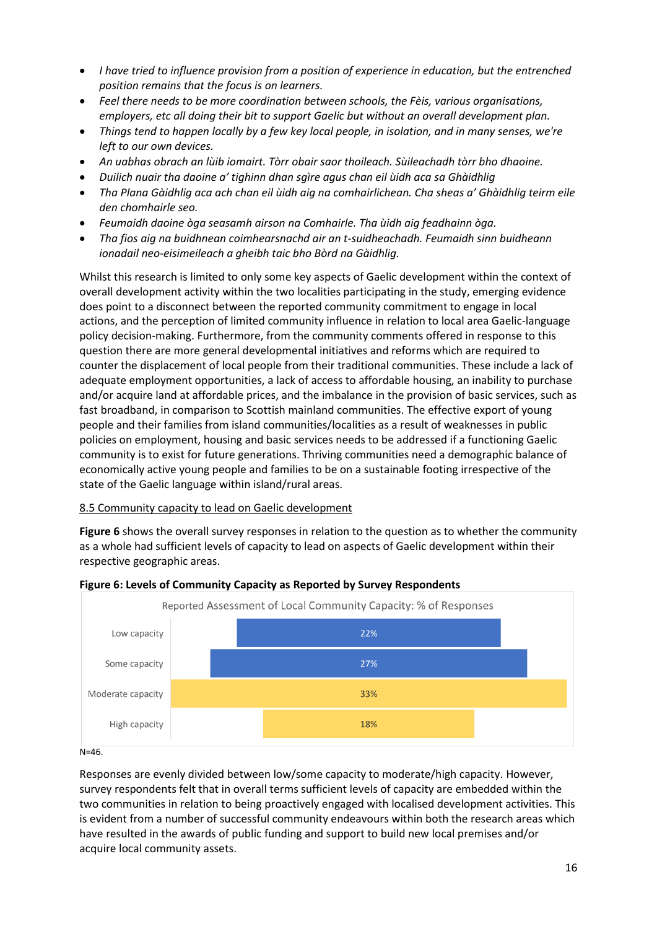- *I have tried to influence provision from a position of experience in education, but the entrenched position remains that the focus is on learners.*
- *Feel there needs to be more coordination between schools, the Fèis, various organisations, employers, etc all doing their bit to support Gaelic but without an overall development plan.*
- *Things tend to happen locally by a few key local people, in isolation, and in many senses, we're left to our own devices.*
- *An uabhas obrach an lùib iomairt. Tòrr obair saor thoileach. Sùileachadh tòrr bho dhaoine.*
- *Duilich nuair tha daoine a' tighinn dhan sgìre agus chan eil ùidh aca sa Ghàidhlig*
- *Tha Plana Gàidhlig aca ach chan eil ùidh aig na comhairlichean. Cha sheas a' Ghàidhlig teirm eile den chomhairle seo.*
- *Feumaidh daoine òga seasamh airson na Comhairle. Tha ùidh aig feadhainn òga.*
- *Tha fios aig na buidhnean coimhearsnachd air an t-suidheachadh. Feumaidh sinn buidheann ionadail neo-eisimeileach a gheibh taic bho Bòrd na Gàidhlig.*

Whilst this research is limited to only some key aspects of Gaelic development within the context of overall development activity within the two localities participating in the study, emerging evidence does point to a disconnect between the reported community commitment to engage in local actions, and the perception of limited community influence in relation to local area Gaelic-language policy decision-making. Furthermore, from the community comments offered in response to this question there are more general developmental initiatives and reforms which are required to counter the displacement of local people from their traditional communities. These include a lack of adequate employment opportunities, a lack of access to affordable housing, an inability to purchase and/or acquire land at affordable prices, and the imbalance in the provision of basic services, such as fast broadband, in comparison to Scottish mainland communities. The effective export of young people and their families from island communities/localities as a result of weaknesses in public policies on employment, housing and basic services needs to be addressed if a functioning Gaelic community is to exist for future generations. Thriving communities need a demographic balance of economically active young people and families to be on a sustainable footing irrespective of the state of the Gaelic language within island/rural areas.

## 8.5 Community capacity to lead on Gaelic development

**Figure 6** shows the overall survey responses in relation to the question as to whether the community as a whole had sufficient levels of capacity to lead on aspects of Gaelic development within their respective geographic areas.



## **Figure 6: Levels of Community Capacity as Reported by Survey Respondents**

Responses are evenly divided between low/some capacity to moderate/high capacity. However, survey respondents felt that in overall terms sufficient levels of capacity are embedded within the two communities in relation to being proactively engaged with localised development activities. This is evident from a number of successful community endeavours within both the research areas which have resulted in the awards of public funding and support to build new local premises and/or acquire local community assets.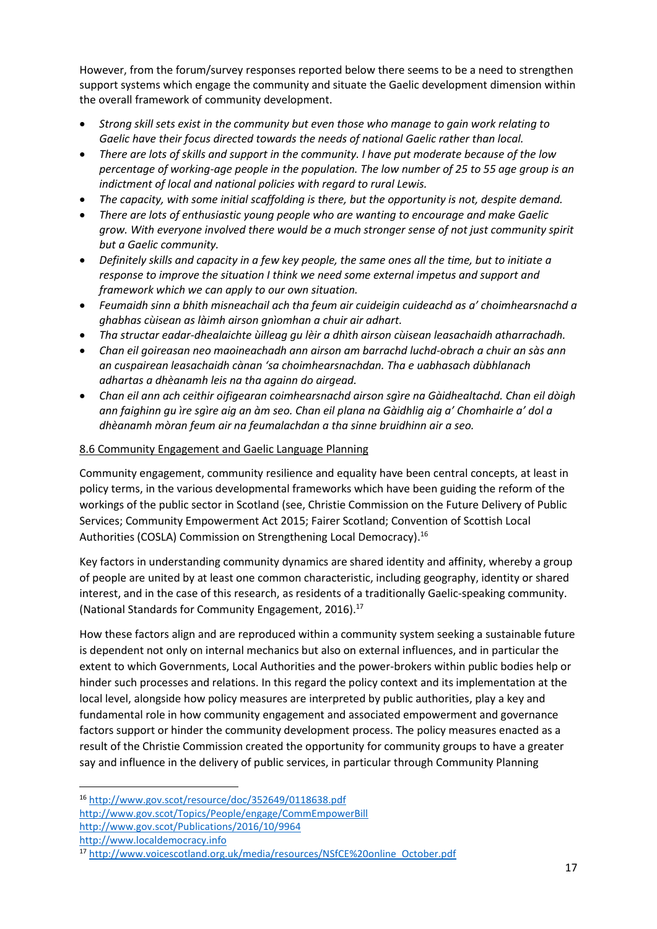However, from the forum/survey responses reported below there seems to be a need to strengthen support systems which engage the community and situate the Gaelic development dimension within the overall framework of community development.

- *Strong skill sets exist in the community but even those who manage to gain work relating to Gaelic have their focus directed towards the needs of national Gaelic rather than local.*
- *There are lots of skills and support in the community. I have put moderate because of the low percentage of working-age people in the population. The low number of 25 to 55 age group is an indictment of local and national policies with regard to rural Lewis.*
- *The capacity, with some initial scaffolding is there, but the opportunity is not, despite demand.*
- *There are lots of enthusiastic young people who are wanting to encourage and make Gaelic grow. With everyone involved there would be a much stronger sense of not just community spirit but a Gaelic community.*
- *Definitely skills and capacity in a few key people, the same ones all the time, but to initiate a response to improve the situation I think we need some external impetus and support and framework which we can apply to our own situation.*
- *Feumaidh sinn a bhith misneachail ach tha feum air cuideigin cuideachd as a' choimhearsnachd a ghabhas cùisean as làimh airson gnìomhan a chuir air adhart.*
- *Tha structar eadar-dhealaichte ùilleag gu lèir a dhìth airson cùisean leasachaidh atharrachadh.*
- *Chan eil goireasan neo maoineachadh ann airson am barrachd luchd-obrach a chuir an sàs ann an cuspairean leasachaidh cànan 'sa choimhearsnachdan. Tha e uabhasach dùbhlanach adhartas a dhèanamh leis na tha againn do airgead.*
- *Chan eil ann ach ceithir oifigearan coimhearsnachd airson sgìre na Gàidhealtachd. Chan eil dòigh ann faighinn gu ìre sgìre aig an àm seo. Chan eil plana na Gàidhlig aig a' Chomhairle a' dol a dhèanamh mòran feum air na feumalachdan a tha sinne bruidhinn air a seo.*

## 8.6 Community Engagement and Gaelic Language Planning

Community engagement, community resilience and equality have been central concepts, at least in policy terms, in the various developmental frameworks which have been guiding the reform of the workings of the public sector in Scotland (see, Christie Commission on the Future Delivery of Public Services; Community Empowerment Act 2015; Fairer Scotland; Convention of Scottish Local Authorities (COSLA) Commission on Strengthening Local Democracy).<sup>16</sup>

Key factors in understanding community dynamics are shared identity and affinity, whereby a group of people are united by at least one common characteristic, including geography, identity or shared interest, and in the case of this research, as residents of a traditionally Gaelic-speaking community. (National Standards for Community Engagement, 2016). 17

How these factors align and are reproduced within a community system seeking a sustainable future is dependent not only on internal mechanics but also on external influences, and in particular the extent to which Governments, Local Authorities and the power-brokers within public bodies help or hinder such processes and relations. In this regard the policy context and its implementation at the local level, alongside how policy measures are interpreted by public authorities, play a key and fundamental role in how community engagement and associated empowerment and governance factors support or hinder the community development process. The policy measures enacted as a result of the Christie Commission created the opportunity for community groups to have a greater say and influence in the delivery of public services, in particular through Community Planning

[http://www.localdemocracy.info](http://www.localdemocracy.info/)

<sup>16</sup> <http://www.gov.scot/resource/doc/352649/0118638.pdf>

<http://www.gov.scot/Topics/People/engage/CommEmpowerBill> <http://www.gov.scot/Publications/2016/10/9964>

<sup>17</sup> [http://www.voicescotland.org.uk/media/resources/NSfCE%20online\\_October.pdf](http://www.voicescotland.org.uk/media/resources/NSfCE%20online_October.pdf)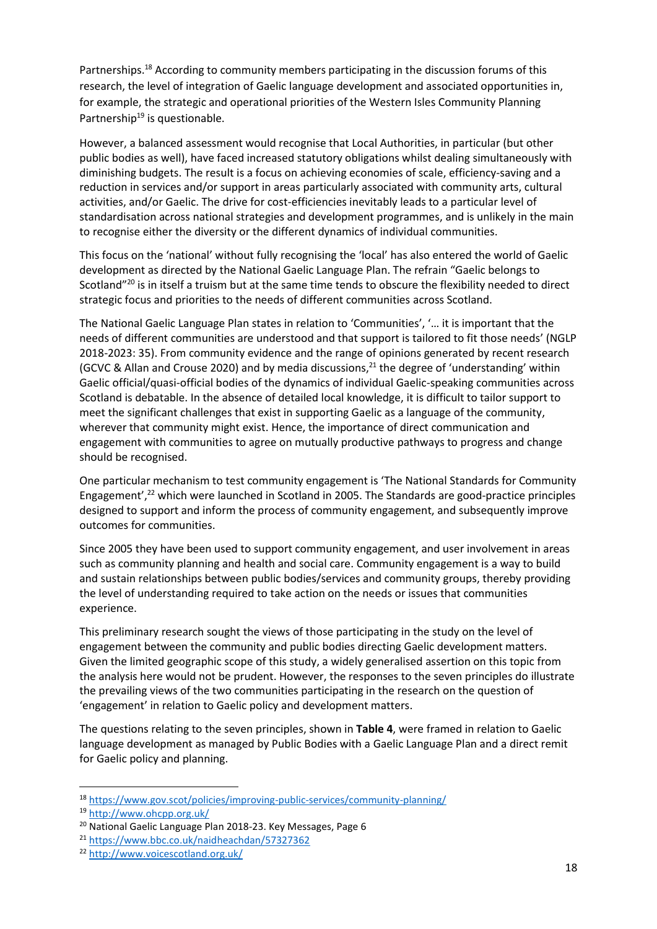Partnerships.<sup>18</sup> According to community members participating in the discussion forums of this research, the level of integration of Gaelic language development and associated opportunities in, for example, the strategic and operational priorities of the Western Isles Community Planning Partnership<sup>19</sup> is questionable.

However, a balanced assessment would recognise that Local Authorities, in particular (but other public bodies as well), have faced increased statutory obligations whilst dealing simultaneously with diminishing budgets. The result is a focus on achieving economies of scale, efficiency-saving and a reduction in services and/or support in areas particularly associated with community arts, cultural activities, and/or Gaelic. The drive for cost-efficiencies inevitably leads to a particular level of standardisation across national strategies and development programmes, and is unlikely in the main to recognise either the diversity or the different dynamics of individual communities.

This focus on the 'national' without fully recognising the 'local' has also entered the world of Gaelic development as directed by the National Gaelic Language Plan. The refrain "Gaelic belongs to Scotland"<sup>20</sup> is in itself a truism but at the same time tends to obscure the flexibility needed to direct strategic focus and priorities to the needs of different communities across Scotland.

The National Gaelic Language Plan states in relation to 'Communities', '… it is important that the needs of different communities are understood and that support is tailored to fit those needs' (NGLP 2018-2023: 35). From community evidence and the range of opinions generated by recent research (GCVC & Allan and Crouse 2020) and by media discussions, <sup>21</sup> the degree of 'understanding' within Gaelic official/quasi-official bodies of the dynamics of individual Gaelic-speaking communities across Scotland is debatable. In the absence of detailed local knowledge, it is difficult to tailor support to meet the significant challenges that exist in supporting Gaelic as a language of the community, wherever that community might exist. Hence, the importance of direct communication and engagement with communities to agree on mutually productive pathways to progress and change should be recognised.

One particular mechanism to test community engagement is 'The National Standards for Community Engagement', <sup>22</sup> which were launched in Scotland in 2005. The Standards are good-practice principles designed to support and inform the process of community engagement, and subsequently improve outcomes for communities.

Since 2005 they have been used to support community engagement, and user involvement in areas such as community planning and health and social care. Community engagement is a way to build and sustain relationships between public bodies/services and community groups, thereby providing the level of understanding required to take action on the needs or issues that communities experience.

This preliminary research sought the views of those participating in the study on the level of engagement between the community and public bodies directing Gaelic development matters. Given the limited geographic scope of this study, a widely generalised assertion on this topic from the analysis here would not be prudent. However, the responses to the seven principles do illustrate the prevailing views of the two communities participating in the research on the question of 'engagement' in relation to Gaelic policy and development matters.

The questions relating to the seven principles, shown in **Table 4**, were framed in relation to Gaelic language development as managed by Public Bodies with a Gaelic Language Plan and a direct remit for Gaelic policy and planning.

<sup>18</sup> <https://www.gov.scot/policies/improving-public-services/community-planning/>

<sup>19</sup> <http://www.ohcpp.org.uk/>

<sup>20</sup> National Gaelic Language Plan 2018-23. Key Messages, Page 6

<sup>21</sup> <https://www.bbc.co.uk/naidheachdan/57327362>

<sup>22</sup> <http://www.voicescotland.org.uk/>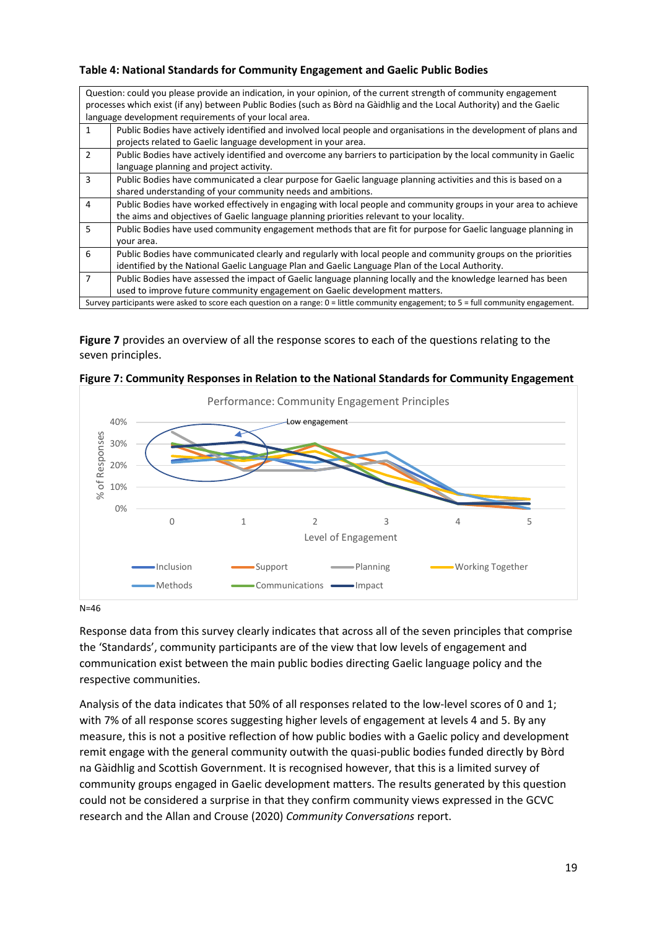#### **Table 4: National Standards for Community Engagement and Gaelic Public Bodies**

|               | Question: could you please provide an indication, in your opinion, of the current strength of community engagement<br>processes which exist (if any) between Public Bodies (such as Bord na Gaidhlig and the Local Authority) and the Gaelic<br>language development requirements of your local area. |
|---------------|-------------------------------------------------------------------------------------------------------------------------------------------------------------------------------------------------------------------------------------------------------------------------------------------------------|
| 1             | Public Bodies have actively identified and involved local people and organisations in the development of plans and                                                                                                                                                                                    |
|               | projects related to Gaelic language development in your area.                                                                                                                                                                                                                                         |
| $\mathcal{P}$ | Public Bodies have actively identified and overcome any barriers to participation by the local community in Gaelic                                                                                                                                                                                    |
|               | language planning and project activity.                                                                                                                                                                                                                                                               |
| 3             | Public Bodies have communicated a clear purpose for Gaelic language planning activities and this is based on a                                                                                                                                                                                        |
|               | shared understanding of your community needs and ambitions.                                                                                                                                                                                                                                           |
| 4             | Public Bodies have worked effectively in engaging with local people and community groups in your area to achieve                                                                                                                                                                                      |
|               | the aims and objectives of Gaelic language planning priorities relevant to your locality.                                                                                                                                                                                                             |
| 5             | Public Bodies have used community engagement methods that are fit for purpose for Gaelic language planning in                                                                                                                                                                                         |
|               | your area.                                                                                                                                                                                                                                                                                            |
| 6             | Public Bodies have communicated clearly and regularly with local people and community groups on the priorities                                                                                                                                                                                        |
|               | identified by the National Gaelic Language Plan and Gaelic Language Plan of the Local Authority.                                                                                                                                                                                                      |
| 7             | Public Bodies have assessed the impact of Gaelic language planning locally and the knowledge learned has been                                                                                                                                                                                         |
|               | used to improve future community engagement on Gaelic development matters.                                                                                                                                                                                                                            |
|               | Survey participants were asked to score each question on a range: 0 = little community engagement; to 5 = full community engagement.                                                                                                                                                                  |

**Figure 7** provides an overview of all the response scores to each of the questions relating to the seven principles.



| Figure 7: Community Responses in Relation to the National Standards for Community Engagement |  |
|----------------------------------------------------------------------------------------------|--|
|----------------------------------------------------------------------------------------------|--|

N=46

Response data from this survey clearly indicates that across all of the seven principles that comprise the 'Standards', community participants are of the view that low levels of engagement and communication exist between the main public bodies directing Gaelic language policy and the respective communities.

Analysis of the data indicates that 50% of all responses related to the low-level scores of 0 and 1; with 7% of all response scores suggesting higher levels of engagement at levels 4 and 5. By any measure, this is not a positive reflection of how public bodies with a Gaelic policy and development remit engage with the general community outwith the quasi-public bodies funded directly by Bòrd na Gàidhlig and Scottish Government. It is recognised however, that this is a limited survey of community groups engaged in Gaelic development matters. The results generated by this question could not be considered a surprise in that they confirm community views expressed in the GCVC research and the Allan and Crouse (2020) *Community Conversations* report.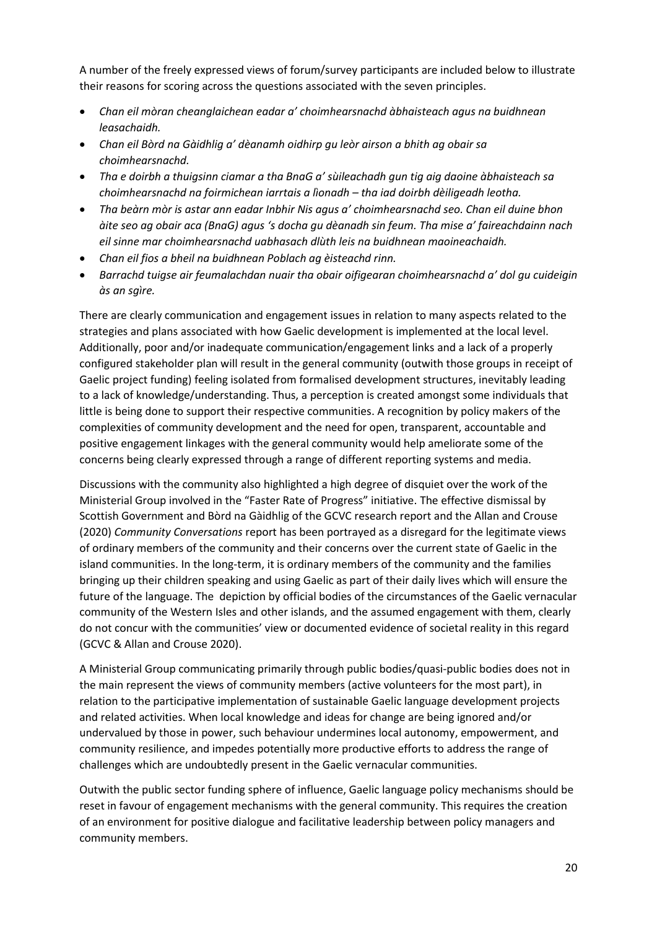A number of the freely expressed views of forum/survey participants are included below to illustrate their reasons for scoring across the questions associated with the seven principles.

- *Chan eil mòran cheanglaichean eadar a' choimhearsnachd àbhaisteach agus na buidhnean leasachaidh.*
- *Chan eil Bòrd na Gàidhlig a' dèanamh oidhirp gu leòr airson a bhith ag obair sa choimhearsnachd.*
- *Tha e doirbh a thuigsinn ciamar a tha BnaG a' sùileachadh gun tig aig daoine àbhaisteach sa choimhearsnachd na foirmichean iarrtais a lìonadh – tha iad doirbh dèiligeadh leotha.*
- *Tha beàrn mòr is astar ann eadar Inbhir Nis agus a' choimhearsnachd seo. Chan eil duine bhon àite seo ag obair aca (BnaG) agus 's docha gu dèanadh sin feum. Tha mise a' faireachdainn nach eil sinne mar choimhearsnachd uabhasach dlùth leis na buidhnean maoineachaidh.*
- *Chan eil fios a bheil na buidhnean Poblach ag èisteachd rinn.*
- *Barrachd tuigse air feumalachdan nuair tha obair oifigearan choimhearsnachd a' dol gu cuideigin às an sgìre.*

There are clearly communication and engagement issues in relation to many aspects related to the strategies and plans associated with how Gaelic development is implemented at the local level. Additionally, poor and/or inadequate communication/engagement links and a lack of a properly configured stakeholder plan will result in the general community (outwith those groups in receipt of Gaelic project funding) feeling isolated from formalised development structures, inevitably leading to a lack of knowledge/understanding. Thus, a perception is created amongst some individuals that little is being done to support their respective communities. A recognition by policy makers of the complexities of community development and the need for open, transparent, accountable and positive engagement linkages with the general community would help ameliorate some of the concerns being clearly expressed through a range of different reporting systems and media.

Discussions with the community also highlighted a high degree of disquiet over the work of the Ministerial Group involved in the "Faster Rate of Progress" initiative. The effective dismissal by Scottish Government and Bòrd na Gàidhlig of the GCVC research report and the Allan and Crouse (2020) *Community Conversations* report has been portrayed as a disregard for the legitimate views of ordinary members of the community and their concerns over the current state of Gaelic in the island communities. In the long-term, it is ordinary members of the community and the families bringing up their children speaking and using Gaelic as part of their daily lives which will ensure the future of the language. The depiction by official bodies of the circumstances of the Gaelic vernacular community of the Western Isles and other islands, and the assumed engagement with them, clearly do not concur with the communities' view or documented evidence of societal reality in this regard (GCVC & Allan and Crouse 2020).

A Ministerial Group communicating primarily through public bodies/quasi-public bodies does not in the main represent the views of community members (active volunteers for the most part), in relation to the participative implementation of sustainable Gaelic language development projects and related activities. When local knowledge and ideas for change are being ignored and/or undervalued by those in power, such behaviour undermines local autonomy, empowerment, and community resilience, and impedes potentially more productive efforts to address the range of challenges which are undoubtedly present in the Gaelic vernacular communities.

Outwith the public sector funding sphere of influence, Gaelic language policy mechanisms should be reset in favour of engagement mechanisms with the general community. This requires the creation of an environment for positive dialogue and facilitative leadership between policy managers and community members.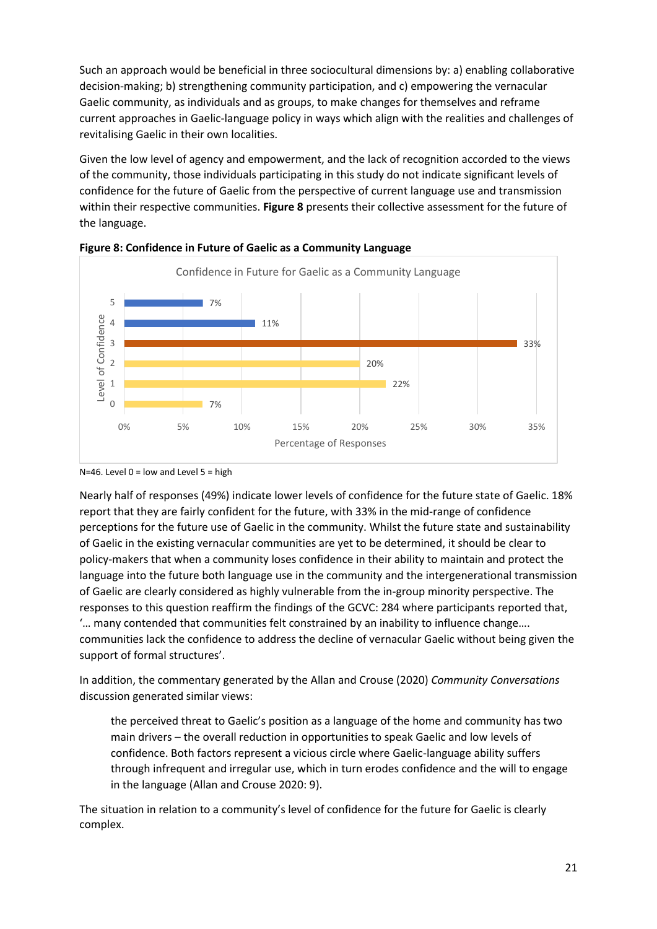Such an approach would be beneficial in three sociocultural dimensions by: a) enabling collaborative decision-making; b) strengthening community participation, and c) empowering the vernacular Gaelic community, as individuals and as groups, to make changes for themselves and reframe current approaches in Gaelic-language policy in ways which align with the realities and challenges of revitalising Gaelic in their own localities.

Given the low level of agency and empowerment, and the lack of recognition accorded to the views of the community, those individuals participating in this study do not indicate significant levels of confidence for the future of Gaelic from the perspective of current language use and transmission within their respective communities. **Figure 8** presents their collective assessment for the future of the language.





N=46. Level  $0 =$  low and Level  $5 =$  high

Nearly half of responses (49%) indicate lower levels of confidence for the future state of Gaelic. 18% report that they are fairly confident for the future, with 33% in the mid-range of confidence perceptions for the future use of Gaelic in the community. Whilst the future state and sustainability of Gaelic in the existing vernacular communities are yet to be determined, it should be clear to policy-makers that when a community loses confidence in their ability to maintain and protect the language into the future both language use in the community and the intergenerational transmission of Gaelic are clearly considered as highly vulnerable from the in-group minority perspective. The responses to this question reaffirm the findings of the GCVC: 284 where participants reported that, '… many contended that communities felt constrained by an inability to influence change…. communities lack the confidence to address the decline of vernacular Gaelic without being given the support of formal structures'.

In addition, the commentary generated by the Allan and Crouse (2020) *Community Conversations* discussion generated similar views:

the perceived threat to Gaelic's position as a language of the home and community has two main drivers – the overall reduction in opportunities to speak Gaelic and low levels of confidence. Both factors represent a vicious circle where Gaelic-language ability suffers through infrequent and irregular use, which in turn erodes confidence and the will to engage in the language (Allan and Crouse 2020: 9).

The situation in relation to a community's level of confidence for the future for Gaelic is clearly complex.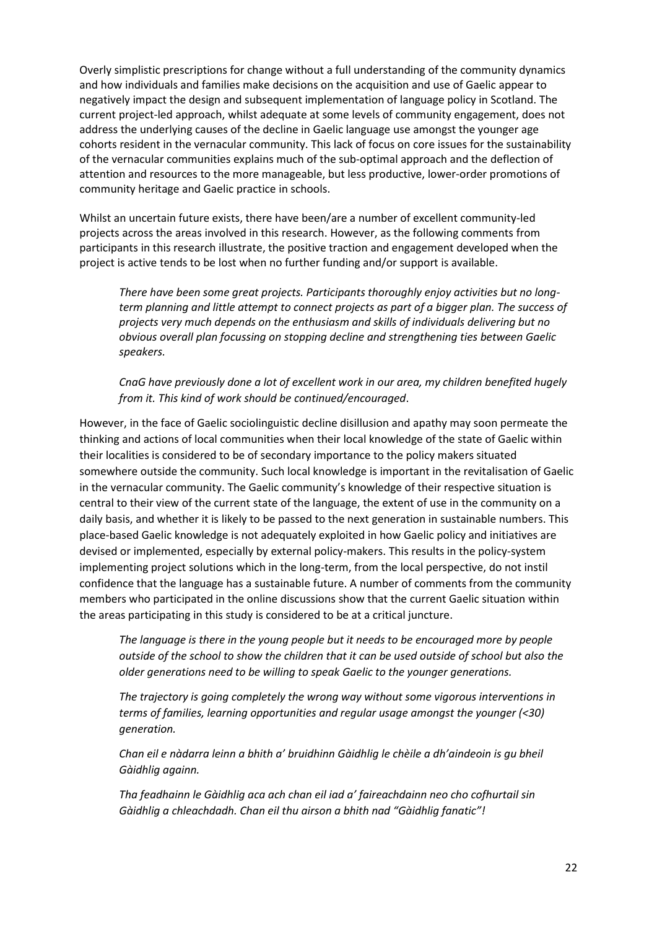Overly simplistic prescriptions for change without a full understanding of the community dynamics and how individuals and families make decisions on the acquisition and use of Gaelic appear to negatively impact the design and subsequent implementation of language policy in Scotland. The current project-led approach, whilst adequate at some levels of community engagement, does not address the underlying causes of the decline in Gaelic language use amongst the younger age cohorts resident in the vernacular community. This lack of focus on core issues for the sustainability of the vernacular communities explains much of the sub-optimal approach and the deflection of attention and resources to the more manageable, but less productive, lower-order promotions of community heritage and Gaelic practice in schools.

Whilst an uncertain future exists, there have been/are a number of excellent community-led projects across the areas involved in this research. However, as the following comments from participants in this research illustrate, the positive traction and engagement developed when the project is active tends to be lost when no further funding and/or support is available.

*There have been some great projects. Participants thoroughly enjoy activities but no longterm planning and little attempt to connect projects as part of a bigger plan. The success of projects very much depends on the enthusiasm and skills of individuals delivering but no obvious overall plan focussing on stopping decline and strengthening ties between Gaelic speakers.*

*CnaG have previously done a lot of excellent work in our area, my children benefited hugely from it. This kind of work should be continued/encouraged*.

However, in the face of Gaelic sociolinguistic decline disillusion and apathy may soon permeate the thinking and actions of local communities when their local knowledge of the state of Gaelic within their localities is considered to be of secondary importance to the policy makers situated somewhere outside the community. Such local knowledge is important in the revitalisation of Gaelic in the vernacular community. The Gaelic community's knowledge of their respective situation is central to their view of the current state of the language, the extent of use in the community on a daily basis, and whether it is likely to be passed to the next generation in sustainable numbers. This place-based Gaelic knowledge is not adequately exploited in how Gaelic policy and initiatives are devised or implemented, especially by external policy-makers. This results in the policy-system implementing project solutions which in the long-term, from the local perspective, do not instil confidence that the language has a sustainable future. A number of comments from the community members who participated in the online discussions show that the current Gaelic situation within the areas participating in this study is considered to be at a critical juncture.

*The language is there in the young people but it needs to be encouraged more by people outside of the school to show the children that it can be used outside of school but also the older generations need to be willing to speak Gaelic to the younger generations.*

*The trajectory is going completely the wrong way without some vigorous interventions in terms of families, learning opportunities and regular usage amongst the younger (<30) generation.*

*Chan eil e nàdarra leinn a bhith a' bruidhinn Gàidhlig le chèile a dh'aindeoin is gu bheil Gàidhlig againn.* 

*Tha feadhainn le Gàidhlig aca ach chan eil iad a' faireachdainn neo cho cofhurtail sin Gàidhlig a chleachdadh. Chan eil thu airson a bhith nad "Gàidhlig fanatic"!*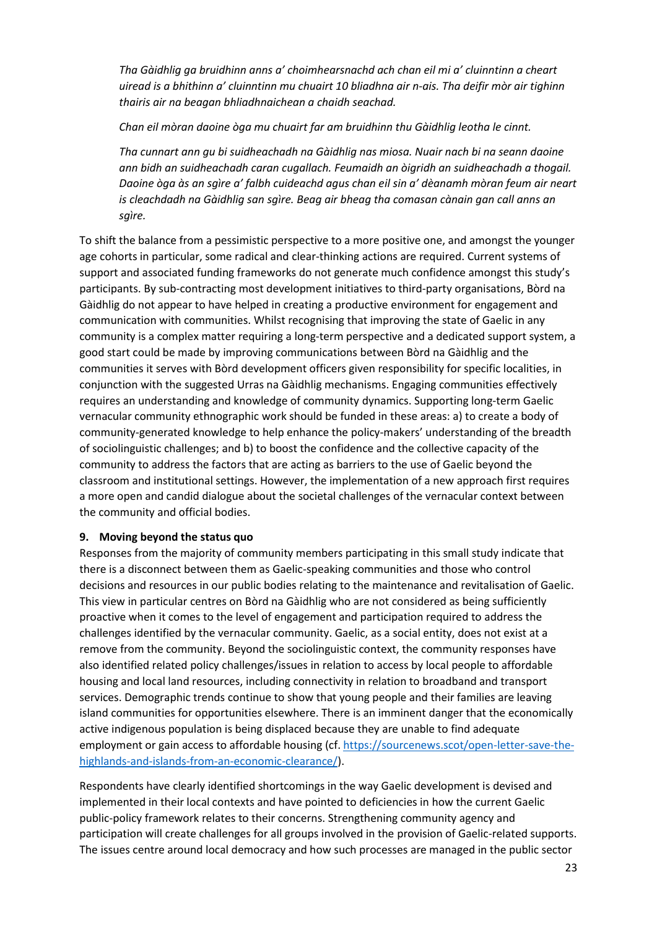*Tha Gàidhlig ga bruidhinn anns a' choimhearsnachd ach chan eil mi a' cluinntinn a cheart uiread is a bhithinn a' cluinntinn mu chuairt 10 bliadhna air n-ais. Tha deifir mòr air tighinn thairis air na beagan bhliadhnaichean a chaidh seachad.* 

*Chan eil mòran daoine òga mu chuairt far am bruidhinn thu Gàidhlig leotha le cinnt.*

*Tha cunnart ann gu bi suidheachadh na Gàidhlig nas miosa. Nuair nach bi na seann daoine ann bidh an suidheachadh caran cugallach. Feumaidh an òigridh an suidheachadh a thogail. Daoine òga às an sgìre a' falbh cuideachd agus chan eil sin a' dèanamh mòran feum air neart is cleachdadh na Gàidhlig san sgìre. Beag air bheag tha comasan cànain gan call anns an sgìre.* 

To shift the balance from a pessimistic perspective to a more positive one, and amongst the younger age cohorts in particular, some radical and clear-thinking actions are required. Current systems of support and associated funding frameworks do not generate much confidence amongst this study's participants. By sub-contracting most development initiatives to third-party organisations, Bòrd na Gàidhlig do not appear to have helped in creating a productive environment for engagement and communication with communities. Whilst recognising that improving the state of Gaelic in any community is a complex matter requiring a long-term perspective and a dedicated support system, a good start could be made by improving communications between Bòrd na Gàidhlig and the communities it serves with Bòrd development officers given responsibility for specific localities, in conjunction with the suggested Urras na Gàidhlig mechanisms. Engaging communities effectively requires an understanding and knowledge of community dynamics. Supporting long-term Gaelic vernacular community ethnographic work should be funded in these areas: a) to create a body of community-generated knowledge to help enhance the policy-makers' understanding of the breadth of sociolinguistic challenges; and b) to boost the confidence and the collective capacity of the community to address the factors that are acting as barriers to the use of Gaelic beyond the classroom and institutional settings. However, the implementation of a new approach first requires a more open and candid dialogue about the societal challenges of the vernacular context between the community and official bodies.

#### **9. Moving beyond the status quo**

Responses from the majority of community members participating in this small study indicate that there is a disconnect between them as Gaelic-speaking communities and those who control decisions and resources in our public bodies relating to the maintenance and revitalisation of Gaelic. This view in particular centres on Bòrd na Gàidhlig who are not considered as being sufficiently proactive when it comes to the level of engagement and participation required to address the challenges identified by the vernacular community. Gaelic, as a social entity, does not exist at a remove from the community. Beyond the sociolinguistic context, the community responses have also identified related policy challenges/issues in relation to access by local people to affordable housing and local land resources, including connectivity in relation to broadband and transport services. Demographic trends continue to show that young people and their families are leaving island communities for opportunities elsewhere. There is an imminent danger that the economically active indigenous population is being displaced because they are unable to find adequate employment or gain access to affordable housing (cf. [https://sourcenews.scot/open-letter-save-the](https://sourcenews.scot/open-letter-save-the-highlands-and-islands-from-an-economic-clearance/)[highlands-and-islands-from-an-economic-clearance/\)](https://sourcenews.scot/open-letter-save-the-highlands-and-islands-from-an-economic-clearance/).

Respondents have clearly identified shortcomings in the way Gaelic development is devised and implemented in their local contexts and have pointed to deficiencies in how the current Gaelic public-policy framework relates to their concerns. Strengthening community agency and participation will create challenges for all groups involved in the provision of Gaelic-related supports. The issues centre around local democracy and how such processes are managed in the public sector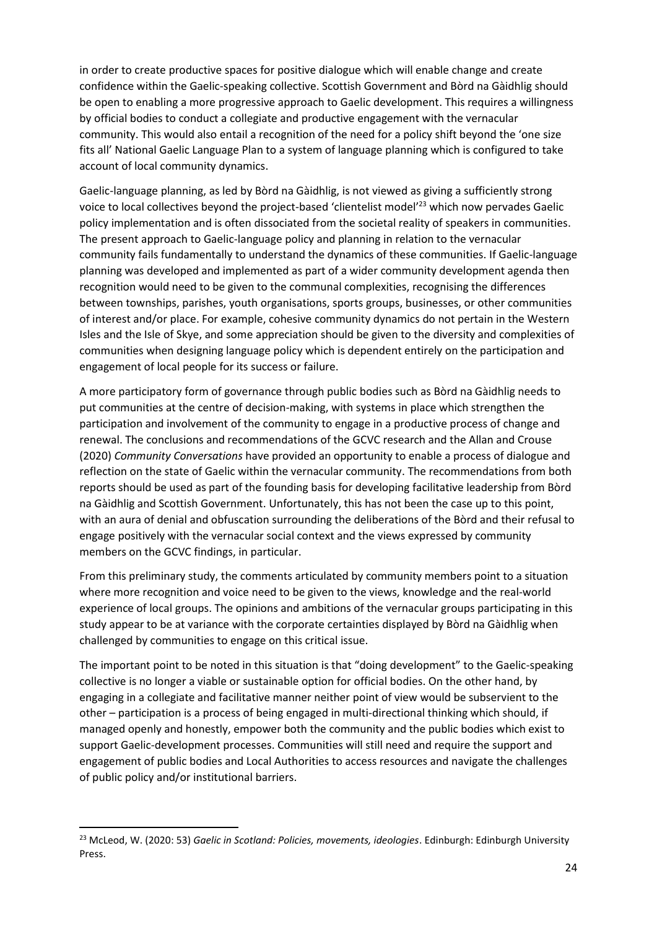in order to create productive spaces for positive dialogue which will enable change and create confidence within the Gaelic-speaking collective. Scottish Government and Bòrd na Gàidhlig should be open to enabling a more progressive approach to Gaelic development. This requires a willingness by official bodies to conduct a collegiate and productive engagement with the vernacular community. This would also entail a recognition of the need for a policy shift beyond the 'one size fits all' National Gaelic Language Plan to a system of language planning which is configured to take account of local community dynamics.

Gaelic-language planning, as led by Bòrd na Gàidhlig, is not viewed as giving a sufficiently strong voice to local collectives beyond the project-based 'clientelist model'<sup>23</sup> which now pervades Gaelic policy implementation and is often dissociated from the societal reality of speakers in communities. The present approach to Gaelic-language policy and planning in relation to the vernacular community fails fundamentally to understand the dynamics of these communities. If Gaelic-language planning was developed and implemented as part of a wider community development agenda then recognition would need to be given to the communal complexities, recognising the differences between townships, parishes, youth organisations, sports groups, businesses, or other communities of interest and/or place. For example, cohesive community dynamics do not pertain in the Western Isles and the Isle of Skye, and some appreciation should be given to the diversity and complexities of communities when designing language policy which is dependent entirely on the participation and engagement of local people for its success or failure.

A more participatory form of governance through public bodies such as Bòrd na Gàidhlig needs to put communities at the centre of decision-making, with systems in place which strengthen the participation and involvement of the community to engage in a productive process of change and renewal. The conclusions and recommendations of the GCVC research and the Allan and Crouse (2020) *Community Conversations* have provided an opportunity to enable a process of dialogue and reflection on the state of Gaelic within the vernacular community. The recommendations from both reports should be used as part of the founding basis for developing facilitative leadership from Bòrd na Gàidhlig and Scottish Government. Unfortunately, this has not been the case up to this point, with an aura of denial and obfuscation surrounding the deliberations of the Bòrd and their refusal to engage positively with the vernacular social context and the views expressed by community members on the GCVC findings, in particular.

From this preliminary study, the comments articulated by community members point to a situation where more recognition and voice need to be given to the views, knowledge and the real-world experience of local groups. The opinions and ambitions of the vernacular groups participating in this study appear to be at variance with the corporate certainties displayed by Bòrd na Gàidhlig when challenged by communities to engage on this critical issue.

The important point to be noted in this situation is that "doing development" to the Gaelic-speaking collective is no longer a viable or sustainable option for official bodies. On the other hand, by engaging in a collegiate and facilitative manner neither point of view would be subservient to the other – participation is a process of being engaged in multi-directional thinking which should, if managed openly and honestly, empower both the community and the public bodies which exist to support Gaelic-development processes. Communities will still need and require the support and engagement of public bodies and Local Authorities to access resources and navigate the challenges of public policy and/or institutional barriers.

<sup>23</sup> McLeod, W. (2020: 53) *Gaelic in Scotland: Policies, movements, ideologies*. Edinburgh: Edinburgh University Press.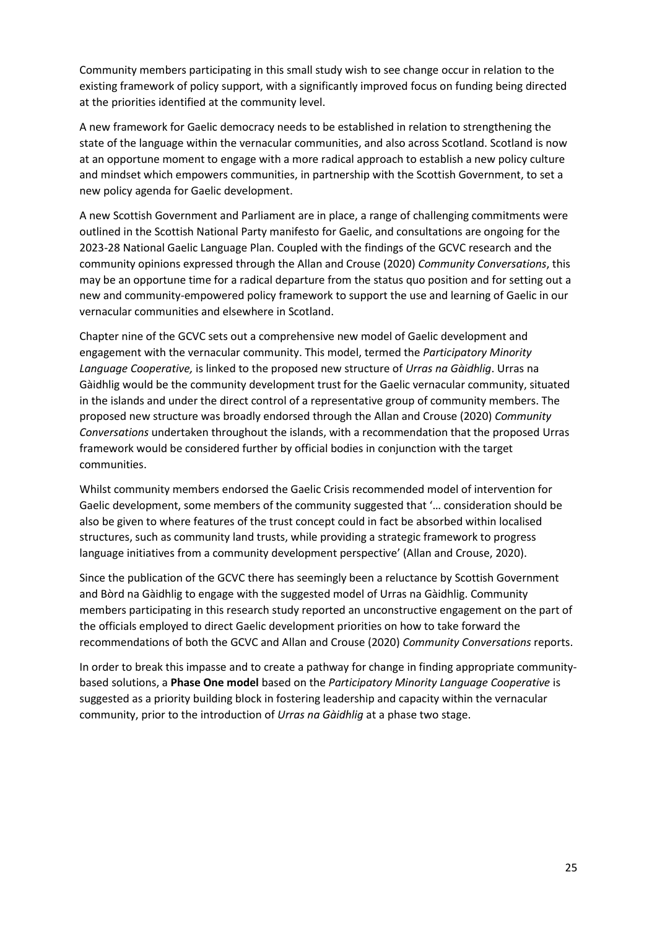Community members participating in this small study wish to see change occur in relation to the existing framework of policy support, with a significantly improved focus on funding being directed at the priorities identified at the community level.

A new framework for Gaelic democracy needs to be established in relation to strengthening the state of the language within the vernacular communities, and also across Scotland. Scotland is now at an opportune moment to engage with a more radical approach to establish a new policy culture and mindset which empowers communities, in partnership with the Scottish Government, to set a new policy agenda for Gaelic development.

A new Scottish Government and Parliament are in place, a range of challenging commitments were outlined in the Scottish National Party manifesto for Gaelic, and consultations are ongoing for the 2023-28 National Gaelic Language Plan. Coupled with the findings of the GCVC research and the community opinions expressed through the Allan and Crouse (2020) *Community Conversations*, this may be an opportune time for a radical departure from the status quo position and for setting out a new and community-empowered policy framework to support the use and learning of Gaelic in our vernacular communities and elsewhere in Scotland.

Chapter nine of the GCVC sets out a comprehensive new model of Gaelic development and engagement with the vernacular community. This model, termed the *Participatory Minority Language Cooperative,* is linked to the proposed new structure of *Urras na Gàidhlig*. Urras na Gàidhlig would be the community development trust for the Gaelic vernacular community, situated in the islands and under the direct control of a representative group of community members. The proposed new structure was broadly endorsed through the Allan and Crouse (2020) *Community Conversations* undertaken throughout the islands, with a recommendation that the proposed Urras framework would be considered further by official bodies in conjunction with the target communities.

Whilst community members endorsed the Gaelic Crisis recommended model of intervention for Gaelic development, some members of the community suggested that '… consideration should be also be given to where features of the trust concept could in fact be absorbed within localised structures, such as community land trusts, while providing a strategic framework to progress language initiatives from a community development perspective' (Allan and Crouse, 2020).

Since the publication of the GCVC there has seemingly been a reluctance by Scottish Government and Bòrd na Gàidhlig to engage with the suggested model of Urras na Gàidhlig. Community members participating in this research study reported an unconstructive engagement on the part of the officials employed to direct Gaelic development priorities on how to take forward the recommendations of both the GCVC and Allan and Crouse (2020) *Community Conversations* reports.

In order to break this impasse and to create a pathway for change in finding appropriate communitybased solutions, a **Phase One model** based on the *Participatory Minority Language Cooperative* is suggested as a priority building block in fostering leadership and capacity within the vernacular community, prior to the introduction of *Urras na Gàidhlig* at a phase two stage.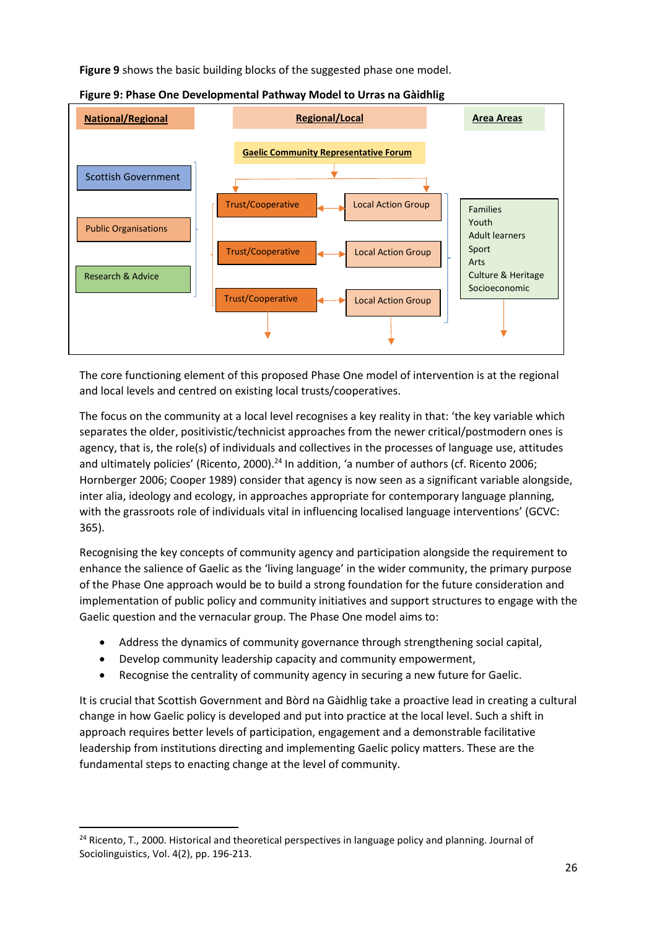**Figure 9** shows the basic building blocks of the suggested phase one model.



#### **Figure 9: Phase One Developmental Pathway Model to Urras na Gàidhlig**

The core functioning element of this proposed Phase One model of intervention is at the regional and local levels and centred on existing local trusts/cooperatives.

The focus on the community at a local level recognises a key reality in that: 'the key variable which separates the older, positivistic/technicist approaches from the newer critical/postmodern ones is agency, that is, the role(s) of individuals and collectives in the processes of language use, attitudes and ultimately policies' (Ricento, 2000).<sup>24</sup> In addition, 'a number of authors (cf. Ricento 2006; Hornberger 2006; Cooper 1989) consider that agency is now seen as a significant variable alongside, inter alia, ideology and ecology, in approaches appropriate for contemporary language planning, with the grassroots role of individuals vital in influencing localised language interventions' (GCVC: 365).

Recognising the key concepts of community agency and participation alongside the requirement to enhance the salience of Gaelic as the 'living language' in the wider community, the primary purpose of the Phase One approach would be to build a strong foundation for the future consideration and implementation of public policy and community initiatives and support structures to engage with the Gaelic question and the vernacular group. The Phase One model aims to:

- Address the dynamics of community governance through strengthening social capital,
- Develop community leadership capacity and community empowerment,
- Recognise the centrality of community agency in securing a new future for Gaelic.

It is crucial that Scottish Government and Bòrd na Gàidhlig take a proactive lead in creating a cultural change in how Gaelic policy is developed and put into practice at the local level. Such a shift in approach requires better levels of participation, engagement and a demonstrable facilitative leadership from institutions directing and implementing Gaelic policy matters. These are the fundamental steps to enacting change at the level of community.

<sup>&</sup>lt;sup>24</sup> Ricento, T., 2000. Historical and theoretical perspectives in language policy and planning. Journal of Sociolinguistics, Vol. 4(2), pp. 196-213.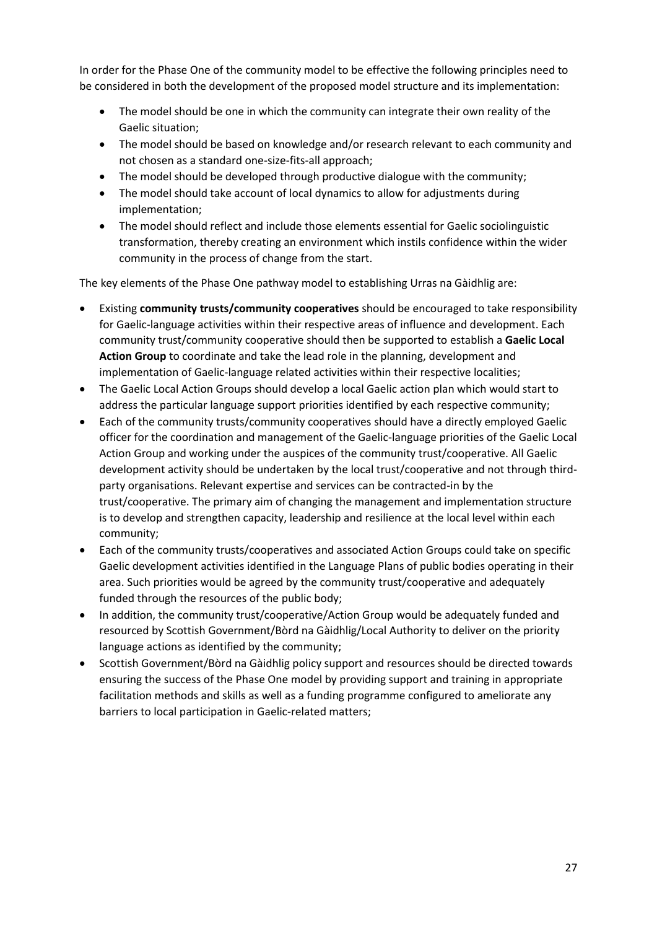In order for the Phase One of the community model to be effective the following principles need to be considered in both the development of the proposed model structure and its implementation:

- The model should be one in which the community can integrate their own reality of the Gaelic situation;
- The model should be based on knowledge and/or research relevant to each community and not chosen as a standard one-size-fits-all approach;
- The model should be developed through productive dialogue with the community;
- The model should take account of local dynamics to allow for adjustments during implementation;
- The model should reflect and include those elements essential for Gaelic sociolinguistic transformation, thereby creating an environment which instils confidence within the wider community in the process of change from the start.

The key elements of the Phase One pathway model to establishing Urras na Gàidhlig are:

- Existing **community trusts/community cooperatives** should be encouraged to take responsibility for Gaelic-language activities within their respective areas of influence and development. Each community trust/community cooperative should then be supported to establish a **Gaelic Local Action Group** to coordinate and take the lead role in the planning, development and implementation of Gaelic-language related activities within their respective localities;
- The Gaelic Local Action Groups should develop a local Gaelic action plan which would start to address the particular language support priorities identified by each respective community;
- Each of the community trusts/community cooperatives should have a directly employed Gaelic officer for the coordination and management of the Gaelic-language priorities of the Gaelic Local Action Group and working under the auspices of the community trust/cooperative. All Gaelic development activity should be undertaken by the local trust/cooperative and not through thirdparty organisations. Relevant expertise and services can be contracted-in by the trust/cooperative. The primary aim of changing the management and implementation structure is to develop and strengthen capacity, leadership and resilience at the local level within each community;
- Each of the community trusts/cooperatives and associated Action Groups could take on specific Gaelic development activities identified in the Language Plans of public bodies operating in their area. Such priorities would be agreed by the community trust/cooperative and adequately funded through the resources of the public body;
- In addition, the community trust/cooperative/Action Group would be adequately funded and resourced by Scottish Government/Bòrd na Gàidhlig/Local Authority to deliver on the priority language actions as identified by the community;
- Scottish Government/Bòrd na Gàidhlig policy support and resources should be directed towards ensuring the success of the Phase One model by providing support and training in appropriate facilitation methods and skills as well as a funding programme configured to ameliorate any barriers to local participation in Gaelic-related matters;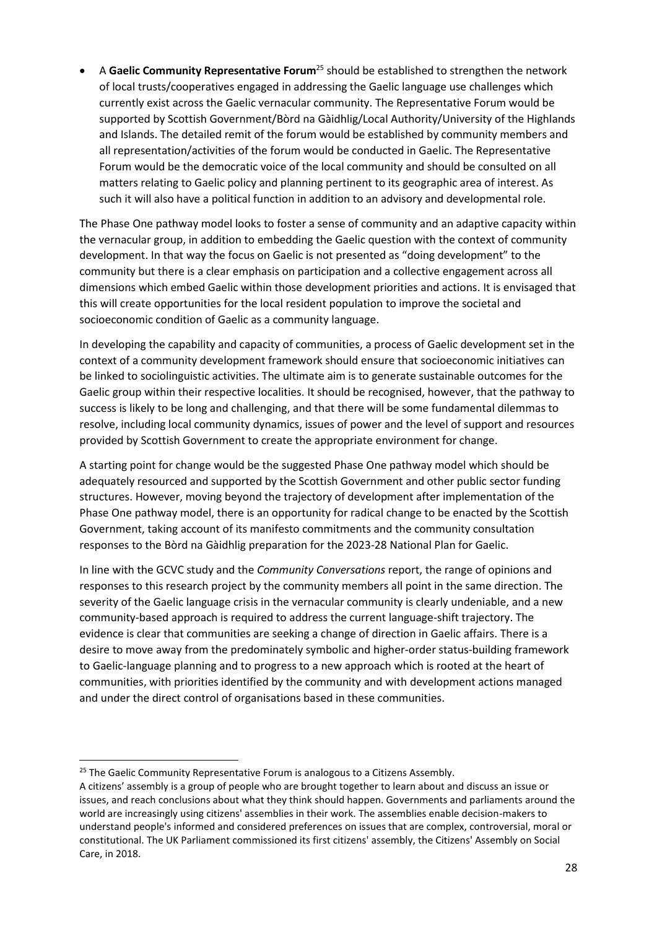• A **Gaelic Community Representative Forum**<sup>25</sup> should be established to strengthen the network of local trusts/cooperatives engaged in addressing the Gaelic language use challenges which currently exist across the Gaelic vernacular community. The Representative Forum would be supported by Scottish Government/Bòrd na Gàidhlig/Local Authority/University of the Highlands and Islands. The detailed remit of the forum would be established by community members and all representation/activities of the forum would be conducted in Gaelic. The Representative Forum would be the democratic voice of the local community and should be consulted on all matters relating to Gaelic policy and planning pertinent to its geographic area of interest. As such it will also have a political function in addition to an advisory and developmental role.

The Phase One pathway model looks to foster a sense of community and an adaptive capacity within the vernacular group, in addition to embedding the Gaelic question with the context of community development. In that way the focus on Gaelic is not presented as "doing development" to the community but there is a clear emphasis on participation and a collective engagement across all dimensions which embed Gaelic within those development priorities and actions. It is envisaged that this will create opportunities for the local resident population to improve the societal and socioeconomic condition of Gaelic as a community language.

In developing the capability and capacity of communities, a process of Gaelic development set in the context of a community development framework should ensure that socioeconomic initiatives can be linked to sociolinguistic activities. The ultimate aim is to generate sustainable outcomes for the Gaelic group within their respective localities. It should be recognised, however, that the pathway to success is likely to be long and challenging, and that there will be some fundamental dilemmas to resolve, including local community dynamics, issues of power and the level of support and resources provided by Scottish Government to create the appropriate environment for change.

A starting point for change would be the suggested Phase One pathway model which should be adequately resourced and supported by the Scottish Government and other public sector funding structures. However, moving beyond the trajectory of development after implementation of the Phase One pathway model, there is an opportunity for radical change to be enacted by the Scottish Government, taking account of its manifesto commitments and the community consultation responses to the Bòrd na Gàidhlig preparation for the 2023-28 National Plan for Gaelic.

In line with the GCVC study and the *Community Conversations* report, the range of opinions and responses to this research project by the community members all point in the same direction. The severity of the Gaelic language crisis in the vernacular community is clearly undeniable, and a new community-based approach is required to address the current language-shift trajectory. The evidence is clear that communities are seeking a change of direction in Gaelic affairs. There is a desire to move away from the predominately symbolic and higher-order status-building framework to Gaelic-language planning and to progress to a new approach which is rooted at the heart of communities, with priorities identified by the community and with development actions managed and under the direct control of organisations based in these communities.

<sup>&</sup>lt;sup>25</sup> The Gaelic Community Representative Forum is analogous to a Citizens Assembly.

A citizens' assembly is a group of people who are brought together to learn about and discuss an issue or issues, and reach conclusions about what they think should happen. Governments and parliaments around the world are increasingly using citizens' assemblies in their work. The assemblies enable decision-makers to understand people's informed and considered preferences on issues that are complex, controversial, moral or constitutional. The UK Parliament commissioned its first citizens' assembly, the Citizens' Assembly on Social Care, in 2018.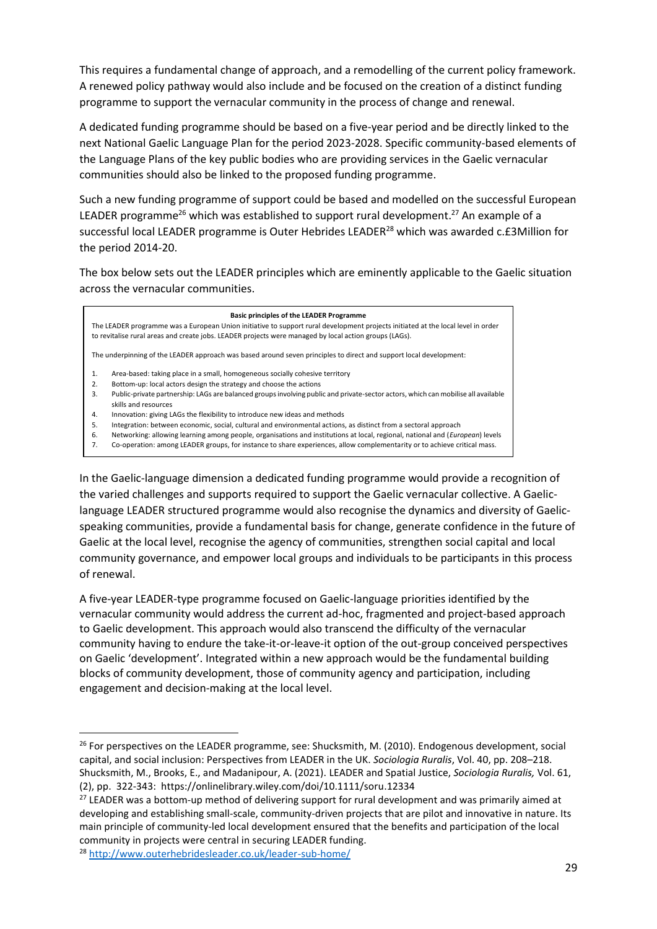This requires a fundamental change of approach, and a remodelling of the current policy framework. A renewed policy pathway would also include and be focused on the creation of a distinct funding programme to support the vernacular community in the process of change and renewal.

A dedicated funding programme should be based on a five-year period and be directly linked to the next National Gaelic Language Plan for the period 2023-2028. Specific community-based elements of the Language Plans of the key public bodies who are providing services in the Gaelic vernacular communities should also be linked to the proposed funding programme.

Such a new funding programme of support could be based and modelled on the successful European LEADER programme<sup>26</sup> which was established to support rural development.<sup>27</sup> An example of a successful local LEADER programme is Outer Hebrides LEADER<sup>28</sup> which was awarded c.£3Million for the period 2014-20.

The box below sets out the LEADER principles which are eminently applicable to the Gaelic situation across the vernacular communities.

#### **Basic principles of the LEADER Programme**

The LEADER programme was a European Union initiative to support rural development projects initiated at the local level in order to revitalise rural areas and create jobs. LEADER projects were managed by local action groups (LAGs).

The underpinning of the LEADER approach was based around seven principles to direct and support local development:

- 1. Area-based: taking place in a small, homogeneous socially cohesive territory
- 2. Bottom-up: local actors design the strategy and choose the actions
- 3. Public-private partnership: LAGs are balanced groups involving public and private-sector actors, which can mobilise all available skills and resources
- 4. Innovation: giving LAGs the flexibility to introduce new ideas and methods
- 5. Integration: between economic, social, cultural and environmental actions, as distinct from a sectoral approach
- 6. Networking: allowing learning among people, organisations and institutions at local, regional, national and (*European*) levels
- 7. Co-operation: among LEADER groups, for instance to share experiences, allow complementarity or to achieve critical mass.

In the Gaelic-language dimension a dedicated funding programme would provide a recognition of the varied challenges and supports required to support the Gaelic vernacular collective. A Gaeliclanguage LEADER structured programme would also recognise the dynamics and diversity of Gaelicspeaking communities, provide a fundamental basis for change, generate confidence in the future of Gaelic at the local level, recognise the agency of communities, strengthen social capital and local community governance, and empower local groups and individuals to be participants in this process of renewal.

A five-year LEADER-type programme focused on Gaelic-language priorities identified by the vernacular community would address the current ad-hoc, fragmented and project-based approach to Gaelic development. This approach would also transcend the difficulty of the vernacular community having to endure the take-it-or-leave-it option of the out-group conceived perspectives on Gaelic 'development'. Integrated within a new approach would be the fundamental building blocks of community development, those of community agency and participation, including engagement and decision-making at the local level.

 $26$  For perspectives on the LEADER programme, see: Shucksmith, M. (2010). Endogenous development, social capital, and social inclusion: Perspectives from LEADER in the UK. *Sociologia Ruralis*, Vol. 40, pp. 208–218. Shucksmith, M., Brooks, E., and Madanipour, A. (2021). LEADER and Spatial Justice, *Sociologia Ruralis,* Vol. 61, (2), pp. 322-343: https://onlinelibrary.wiley.com/doi/10.1111/soru.12334

<sup>&</sup>lt;sup>27</sup> LEADER was a bottom-up method of delivering support for rural development and was primarily aimed at developing and establishing small-scale, community-driven projects that are pilot and innovative in nature. Its main principle of community-led local development ensured that the benefits and participation of the local community in projects were central in securing LEADER funding.

<sup>28</sup> <http://www.outerhebridesleader.co.uk/leader-sub-home/>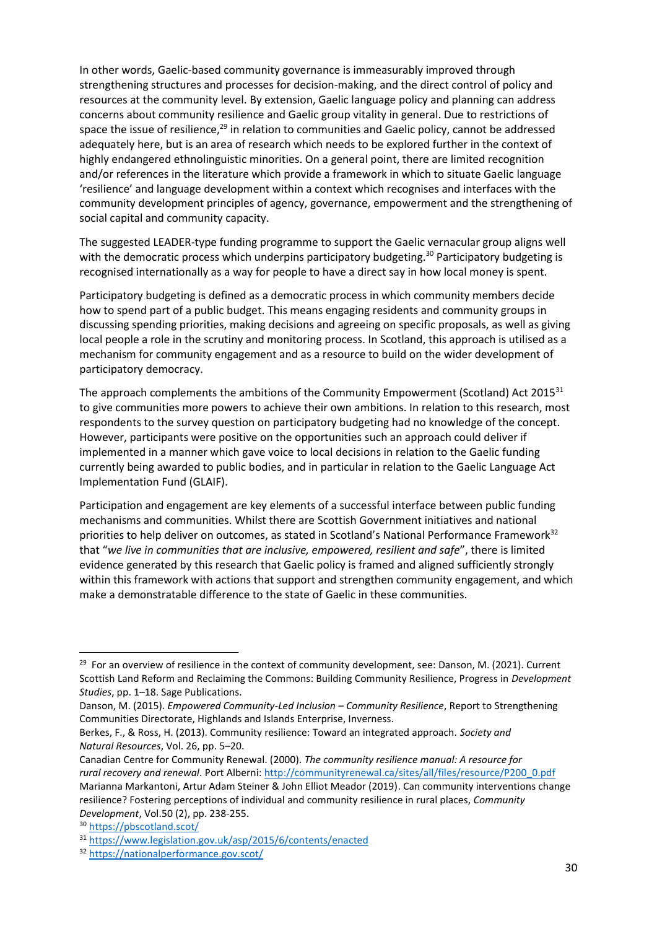In other words, Gaelic-based community governance is immeasurably improved through strengthening structures and processes for decision-making, and the direct control of policy and resources at the community level. By extension, Gaelic language policy and planning can address concerns about community resilience and Gaelic group vitality in general. Due to restrictions of space the issue of resilience,<sup>29</sup> in relation to communities and Gaelic policy, cannot be addressed adequately here, but is an area of research which needs to be explored further in the context of highly endangered ethnolinguistic minorities. On a general point, there are limited recognition and/or references in the literature which provide a framework in which to situate Gaelic language 'resilience' and language development within a context which recognises and interfaces with the community development principles of agency, governance, empowerment and the strengthening of social capital and community capacity.

The suggested LEADER-type funding programme to support the Gaelic vernacular group aligns well with the democratic process which underpins participatory budgeting.<sup>30</sup> Participatory budgeting is recognised internationally as a way for people to have a direct say in how local money is spent.

Participatory budgeting is defined as a democratic process in which community members decide how to spend part of a public budget. This means engaging residents and community groups in discussing spending priorities, making decisions and agreeing on specific proposals, as well as giving local people a role in the scrutiny and monitoring process. In Scotland, this approach is utilised as a mechanism for community engagement and as a resource to build on the wider development of participatory democracy.

The approach complements the ambitions of the Community Empowerment (Scotland) Act 2015<sup>31</sup> to give communities more powers to achieve their own ambitions. In relation to this research, most respondents to the survey question on participatory budgeting had no knowledge of the concept. However, participants were positive on the opportunities such an approach could deliver if implemented in a manner which gave voice to local decisions in relation to the Gaelic funding currently being awarded to public bodies, and in particular in relation to the Gaelic Language Act Implementation Fund (GLAIF).

Participation and engagement are key elements of a successful interface between public funding mechanisms and communities. Whilst there are Scottish Government initiatives and national priorities to help deliver on outcomes, as stated in Scotland's National Performance Framework<sup>32</sup> that "*we live in communities that are inclusive, empowered, resilient and safe*", there is limited evidence generated by this research that Gaelic policy is framed and aligned sufficiently strongly within this framework with actions that support and strengthen community engagement, and which make a demonstratable difference to the state of Gaelic in these communities.

<sup>&</sup>lt;sup>29</sup> For an overview of resilience in the context of community development, see: Danson, M. (2021). Current Scottish Land Reform and Reclaiming the Commons: Building Community Resilience, Progress in *Development Studies*, pp. 1–18. Sage Publications.

Danson, M. (2015). *Empowered Community-Led Inclusion – Community Resilience*, Report to Strengthening Communities Directorate, Highlands and Islands Enterprise, Inverness.

Berkes, F., & Ross, H. (2013). Community resilience: Toward an integrated approach. *Society and Natural Resources*, Vol. 26, pp. 5–20.

Canadian Centre for Community Renewal. (2000). *The community resilience manual: A resource for rural recovery and renewal*. Port Alberni[: http://communityrenewal.ca/sites/all/files/resource/P200\\_0.pdf](http://communityrenewal.ca/sites/all/files/resource/P200_0.pdf) Marianna Markantoni, Artur Adam Steiner & John Elliot Meador (2019). Can community interventions change resilience? Fostering perceptions of individual and community resilience in rural places, *Community Development*, Vol.50 (2), pp. 238-255.

<sup>30</sup> <https://pbscotland.scot/>

<sup>31</sup> <https://www.legislation.gov.uk/asp/2015/6/contents/enacted>

<sup>32</sup> <https://nationalperformance.gov.scot/>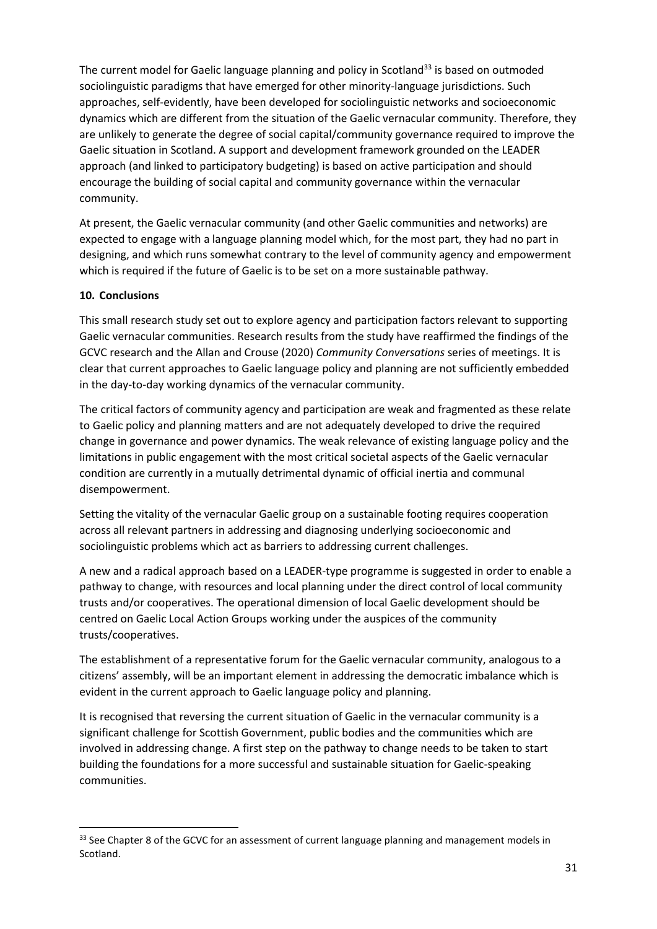The current model for Gaelic language planning and policy in Scotland<sup>33</sup> is based on outmoded sociolinguistic paradigms that have emerged for other minority-language jurisdictions. Such approaches, self-evidently, have been developed for sociolinguistic networks and socioeconomic dynamics which are different from the situation of the Gaelic vernacular community. Therefore, they are unlikely to generate the degree of social capital/community governance required to improve the Gaelic situation in Scotland. A support and development framework grounded on the LEADER approach (and linked to participatory budgeting) is based on active participation and should encourage the building of social capital and community governance within the vernacular community.

At present, the Gaelic vernacular community (and other Gaelic communities and networks) are expected to engage with a language planning model which, for the most part, they had no part in designing, and which runs somewhat contrary to the level of community agency and empowerment which is required if the future of Gaelic is to be set on a more sustainable pathway.

## **10. Conclusions**

This small research study set out to explore agency and participation factors relevant to supporting Gaelic vernacular communities. Research results from the study have reaffirmed the findings of the GCVC research and the Allan and Crouse (2020) *Community Conversations* series of meetings. It is clear that current approaches to Gaelic language policy and planning are not sufficiently embedded in the day-to-day working dynamics of the vernacular community.

The critical factors of community agency and participation are weak and fragmented as these relate to Gaelic policy and planning matters and are not adequately developed to drive the required change in governance and power dynamics. The weak relevance of existing language policy and the limitations in public engagement with the most critical societal aspects of the Gaelic vernacular condition are currently in a mutually detrimental dynamic of official inertia and communal disempowerment.

Setting the vitality of the vernacular Gaelic group on a sustainable footing requires cooperation across all relevant partners in addressing and diagnosing underlying socioeconomic and sociolinguistic problems which act as barriers to addressing current challenges.

A new and a radical approach based on a LEADER-type programme is suggested in order to enable a pathway to change, with resources and local planning under the direct control of local community trusts and/or cooperatives. The operational dimension of local Gaelic development should be centred on Gaelic Local Action Groups working under the auspices of the community trusts/cooperatives.

The establishment of a representative forum for the Gaelic vernacular community, analogous to a citizens' assembly, will be an important element in addressing the democratic imbalance which is evident in the current approach to Gaelic language policy and planning.

It is recognised that reversing the current situation of Gaelic in the vernacular community is a significant challenge for Scottish Government, public bodies and the communities which are involved in addressing change. A first step on the pathway to change needs to be taken to start building the foundations for a more successful and sustainable situation for Gaelic-speaking communities.

<sup>33</sup> See Chapter 8 of the GCVC for an assessment of current language planning and management models in Scotland.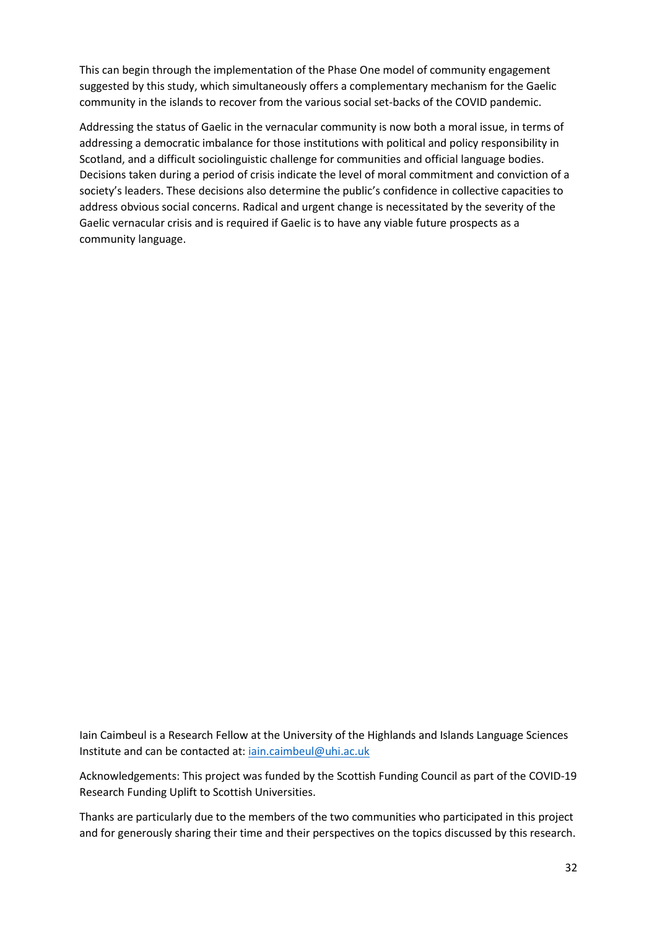This can begin through the implementation of the Phase One model of community engagement suggested by this study, which simultaneously offers a complementary mechanism for the Gaelic community in the islands to recover from the various social set-backs of the COVID pandemic.

Addressing the status of Gaelic in the vernacular community is now both a moral issue, in terms of addressing a democratic imbalance for those institutions with political and policy responsibility in Scotland, and a difficult sociolinguistic challenge for communities and official language bodies. Decisions taken during a period of crisis indicate the level of moral commitment and conviction of a society's leaders. These decisions also determine the public's confidence in collective capacities to address obvious social concerns. Radical and urgent change is necessitated by the severity of the Gaelic vernacular crisis and is required if Gaelic is to have any viable future prospects as a community language.

Iain Caimbeul is a Research Fellow at the University of the Highlands and Islands Language Sciences Institute and can be contacted at: [iain.caimbeul@uhi.ac.uk](mailto:iain.caimbeul@uhi.ac.uk)

Acknowledgements: This project was funded by the Scottish Funding Council as part of the COVID-19 Research Funding Uplift to Scottish Universities.

Thanks are particularly due to the members of the two communities who participated in this project and for generously sharing their time and their perspectives on the topics discussed by this research.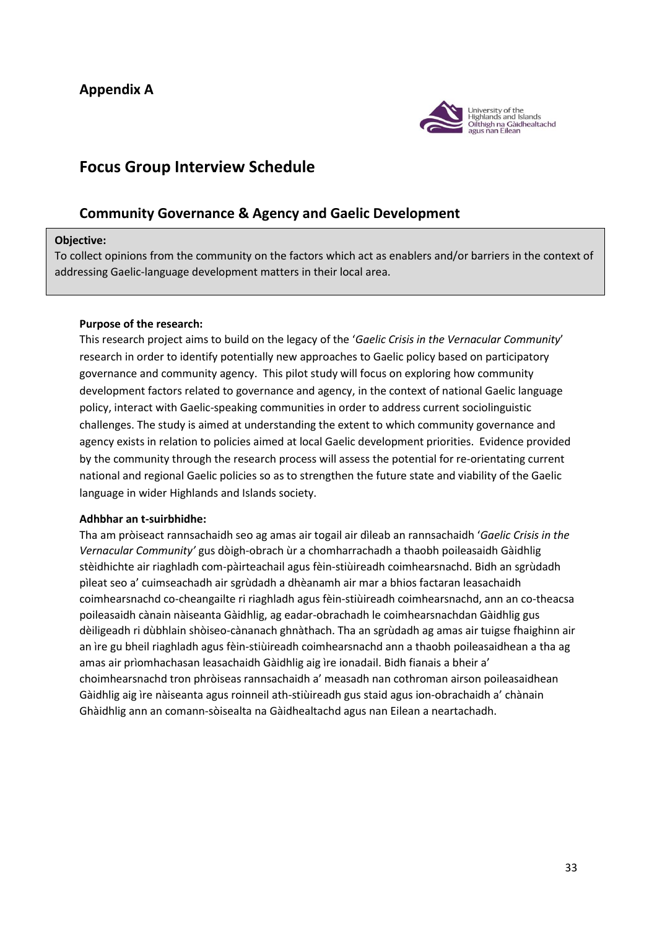## **Appendix A**



## **Focus Group Interview Schedule**

## **Community Governance & Agency and Gaelic Development**

#### **Objective:**

To collect opinions from the community on the factors which act as enablers and/or barriers in the context of addressing Gaelic-language development matters in their local area.

#### **Purpose of the research:**

This research project aims to build on the legacy of the '*Gaelic Crisis in the Vernacular Community*' research in order to identify potentially new approaches to Gaelic policy based on participatory governance and community agency. This pilot study will focus on exploring how community development factors related to governance and agency, in the context of national Gaelic language policy, interact with Gaelic-speaking communities in order to address current sociolinguistic challenges. The study is aimed at understanding the extent to which community governance and agency exists in relation to policies aimed at local Gaelic development priorities. Evidence provided by the community through the research process will assess the potential for re-orientating current national and regional Gaelic policies so as to strengthen the future state and viability of the Gaelic language in wider Highlands and Islands society.

#### **Adhbhar an t-suirbhidhe:**

Tha am pròiseact rannsachaidh seo ag amas air togail air dìleab an rannsachaidh '*Gaelic Crisis in the Vernacular Community'* gus dòigh-obrach ùr a chomharrachadh a thaobh poileasaidh Gàidhlig stèidhichte air riaghladh com-pàirteachail agus fèin-stiùireadh coimhearsnachd. Bidh an sgrùdadh pìleat seo a' cuimseachadh air sgrùdadh a dhèanamh air mar a bhios factaran leasachaidh coimhearsnachd co-cheangailte ri riaghladh agus fèin-stiùireadh coimhearsnachd, ann an co-theacsa poileasaidh cànain nàiseanta Gàidhlig, ag eadar-obrachadh le coimhearsnachdan Gàidhlig gus dèiligeadh ri dùbhlain shòiseo-cànanach ghnàthach. Tha an sgrùdadh ag amas air tuigse fhaighinn air an ìre gu bheil riaghladh agus fèin-stiùireadh coimhearsnachd ann a thaobh poileasaidhean a tha ag amas air prìomhachasan leasachaidh Gàidhlig aig ìre ionadail. Bidh fianais a bheir a' choimhearsnachd tron phròiseas rannsachaidh a' measadh nan cothroman airson poileasaidhean Gàidhlig aig ìre nàiseanta agus roinneil ath-stiùireadh gus staid agus ion-obrachaidh a' chànain Ghàidhlig ann an comann-sòisealta na Gàidhealtachd agus nan Eilean a neartachadh.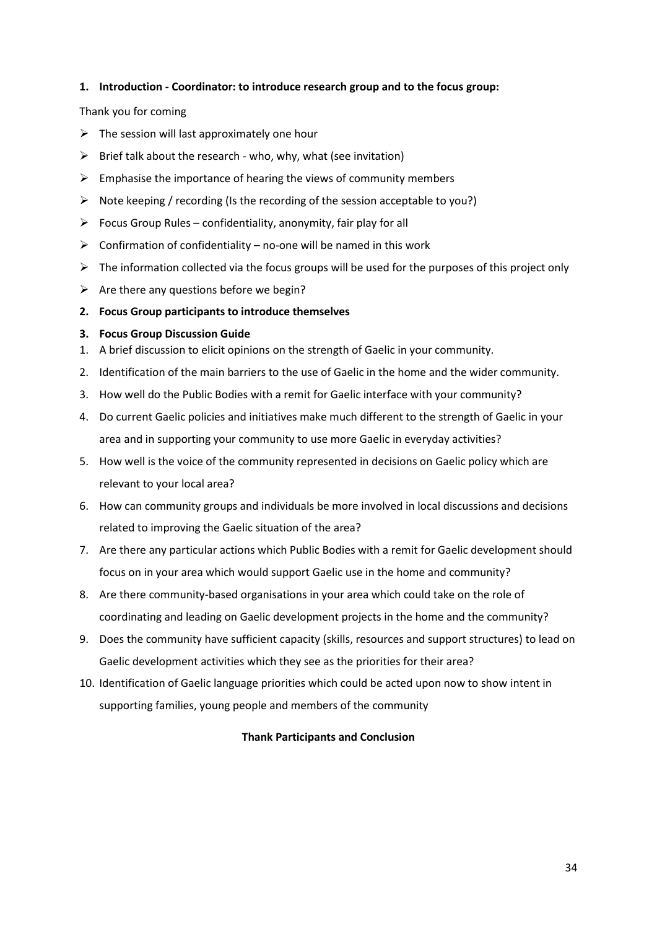#### **1. Introduction - Coordinator: to introduce research group and to the focus group:**

#### Thank you for coming

- $\triangleright$  The session will last approximately one hour
- $\triangleright$  Brief talk about the research who, why, what (see invitation)
- $\triangleright$  Emphasise the importance of hearing the views of community members
- $\triangleright$  Note keeping / recording (Is the recording of the session acceptable to you?)
- $\triangleright$  Focus Group Rules confidentiality, anonymity, fair play for all
- $\triangleright$  Confirmation of confidentiality no-one will be named in this work
- $\triangleright$  The information collected via the focus groups will be used for the purposes of this project only
- $\triangleright$  Are there any questions before we begin?
- **2. Focus Group participants to introduce themselves**

#### **3. Focus Group Discussion Guide**

- 1. A brief discussion to elicit opinions on the strength of Gaelic in your community.
- 2. Identification of the main barriers to the use of Gaelic in the home and the wider community.
- 3. How well do the Public Bodies with a remit for Gaelic interface with your community?
- 4. Do current Gaelic policies and initiatives make much different to the strength of Gaelic in your area and in supporting your community to use more Gaelic in everyday activities?
- 5. How well is the voice of the community represented in decisions on Gaelic policy which are relevant to your local area?
- 6. How can community groups and individuals be more involved in local discussions and decisions related to improving the Gaelic situation of the area?
- 7. Are there any particular actions which Public Bodies with a remit for Gaelic development should focus on in your area which would support Gaelic use in the home and community?
- 8. Are there community-based organisations in your area which could take on the role of coordinating and leading on Gaelic development projects in the home and the community?
- 9. Does the community have sufficient capacity (skills, resources and support structures) to lead on Gaelic development activities which they see as the priorities for their area?
- 10. Identification of Gaelic language priorities which could be acted upon now to show intent in supporting families, young people and members of the community

#### **Thank Participants and Conclusion**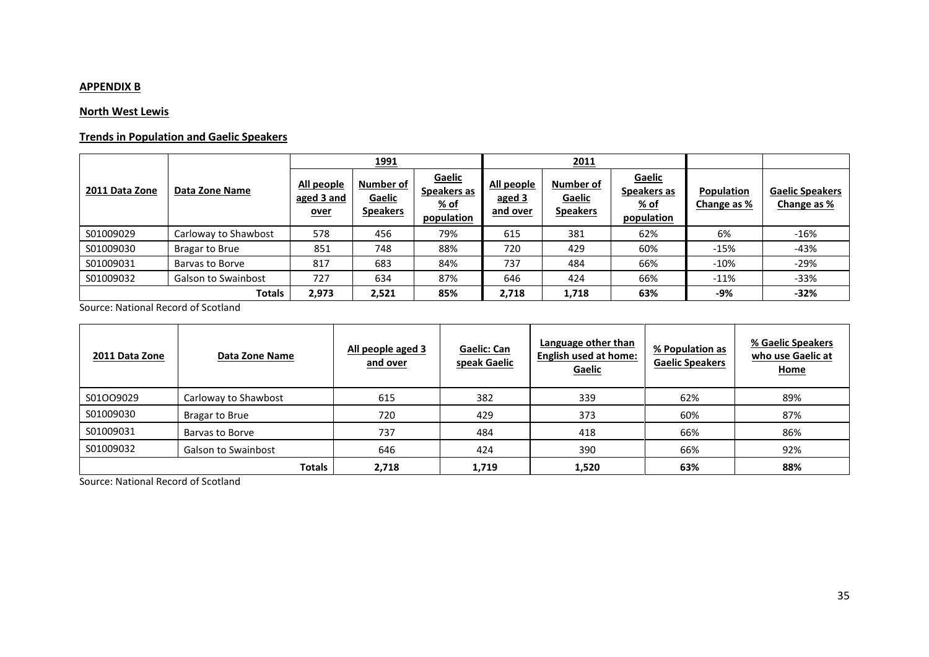### **APPENDIX B**

### **North West Lewis**

## **Trends in Population and Gaelic Speakers**

|                | Data Zone Name             |                                         | <u> 1991</u>                           |                                                            |                                  | 2011                                   |                                                    |                                  |                                       |
|----------------|----------------------------|-----------------------------------------|----------------------------------------|------------------------------------------------------------|----------------------------------|----------------------------------------|----------------------------------------------------|----------------------------------|---------------------------------------|
| 2011 Data Zone |                            | All people<br>aged 3 and<br><u>over</u> | Number of<br>Gaelic<br><b>Speakers</b> | <b>Gaelic</b><br>Spe <u>akers as</u><br>% of<br>population | All people<br>aged 3<br>and over | Number of<br>Gaelic<br><b>Speakers</b> | <b>Gaelic</b><br>Speakers as<br>% of<br>population | <b>Population</b><br>Change as % | <b>Gaelic Speakers</b><br>Change as % |
| S01009029      | Carloway to Shawbost       | 578                                     | 456                                    | 79%                                                        | 615                              | 381                                    | 62%                                                | 6%                               | $-16%$                                |
| S01009030      | Bragar to Brue             | 851                                     | 748                                    | 88%                                                        | 720                              | 429                                    | 60%                                                | $-15%$                           | $-43%$                                |
| S01009031      | Barvas to Borve            | 817                                     | 683                                    | 84%                                                        | 737                              | 484                                    | 66%                                                | $-10%$                           | $-29%$                                |
| S01009032      | <b>Galson to Swainbost</b> | 727                                     | 634                                    | 87%                                                        | 646                              | 424                                    | 66%                                                | $-11%$                           | $-33%$                                |
|                | <b>Totals</b>              | 2,973                                   | 2,521                                  | 85%                                                        | 2,718                            | 1,718                                  | 63%                                                | -9%                              | $-32%$                                |

Source: National Record of Scotland

| 2011 Data Zone | Data Zone Name             | All people aged 3<br>Gaelic: Can<br>speak Gaelic<br>and over |       | Language other than<br><b>English used at home:</b><br>Gaelic | % Population as<br><b>Gaelic Speakers</b> | % Gaelic Speakers<br>who use Gaelic at<br><b>Home</b> |
|----------------|----------------------------|--------------------------------------------------------------|-------|---------------------------------------------------------------|-------------------------------------------|-------------------------------------------------------|
| S01OO9029      | Carloway to Shawbost       | 615                                                          | 382   | 339                                                           | 62%                                       | 89%                                                   |
| S01009030      | Bragar to Brue             | 720                                                          | 429   | 373                                                           | 60%                                       | 87%                                                   |
| S01009031      | Barvas to Borve            | 737                                                          | 484   | 418                                                           | 66%                                       | 86%                                                   |
| S01009032      | <b>Galson to Swainbost</b> | 646                                                          | 424   | 390                                                           | 66%                                       | 92%                                                   |
|                | <b>Totals</b>              | 2,718                                                        | 1,719 | 1,520                                                         | 63%                                       | 88%                                                   |

Source: National Record of Scotland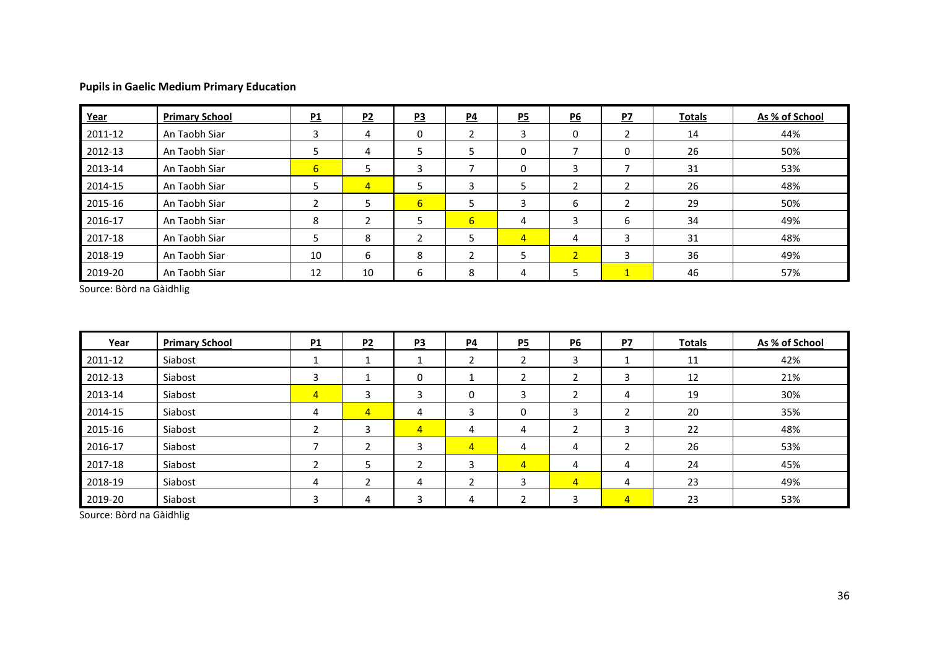## **Pupils in Gaelic Medium Primary Education**

| Year    | <b>Primary School</b> | P1 | P2             | P3             | $\underline{P4}$ | P5             | P6              | PZ | <b>Totals</b> | As % of School |
|---------|-----------------------|----|----------------|----------------|------------------|----------------|-----------------|----|---------------|----------------|
| 2011-12 | An Taobh Siar         | 3  | 4              | 0              |                  |                | 0               |    | 14            | 44%            |
| 2012-13 | An Taobh Siar         |    | 4              |                | כ                | 0              |                 | 0  | 26            | 50%            |
| 2013-14 | An Taobh Siar         | 6  |                |                |                  | 0              | 3               |    | 31            | 53%            |
| 2014-15 | An Taobh Siar         |    | $\overline{4}$ |                | 3                | Э              | ຳ<br>$\epsilon$ | ำ  | 26            | 48%            |
| 2015-16 | An Taobh Siar         |    |                | 6 <sup>1</sup> | כ                |                | 6               |    | 29            | 50%            |
| 2016-17 | An Taobh Siar         | 8  |                |                | $6\overline{6}$  | 4              | 3               | 6  | 34            | 49%            |
| 2017-18 | An Taobh Siar         |    | 8              | ∍              | э                | $\overline{4}$ | 4               | 3  | 31            | 48%            |
| 2018-19 | An Taobh Siar         | 10 | 6              | 8              |                  |                | 2 <sup>1</sup>  | 3  | 36            | 49%            |
| 2019-20 | An Taobh Siar         | 12 | 10             | 6              | 8                |                | כ               |    | 46            | 57%            |

Source: Bòrd na Gàidhlig

| Year    | <b>Primary School</b> | P1             | P2             | P3             | $\underline{P4}$ | $\underline{P5}$ | $\underline{P6}$ | PZ             | <b>Totals</b> | As % of School |
|---------|-----------------------|----------------|----------------|----------------|------------------|------------------|------------------|----------------|---------------|----------------|
| 2011-12 | Siabost               |                |                |                | ำ                |                  | 3                |                | 11            | 42%            |
| 2012-13 | Siabost               | 3              |                | 0              |                  |                  | 2                | 3              | 12            | 21%            |
| 2013-14 | Siabost               | $\overline{4}$ | 3              | 3              | 0                | 3                | า                | 4              | 19            | 30%            |
| 2014-15 | Siabost               | 4              | $\overline{4}$ | 4              | 3                | 0                | 3                | 2              | 20            | 35%            |
| 2015-16 | Siabost               |                | 3              | $\overline{4}$ | 4                | 4                | $\overline{2}$   | 3              | 22            | 48%            |
| 2016-17 | Siabost               |                |                | 3              | $\overline{4}$   | 4                | 4                | ำ              | 26            | 53%            |
| 2017-18 | Siabost               |                | 5              |                | 3                | $\overline{4}$   | 4                | 4              | 24            | 45%            |
| 2018-19 | Siabost               | 4              |                | 4              |                  |                  | $\overline{4}$   | 4              | 23            | 49%            |
| 2019-20 | Siabost               |                | 4              | 3              | 4                |                  | 3                | $\overline{4}$ | 23            | 53%            |

Source: Bòrd na Gàidhlig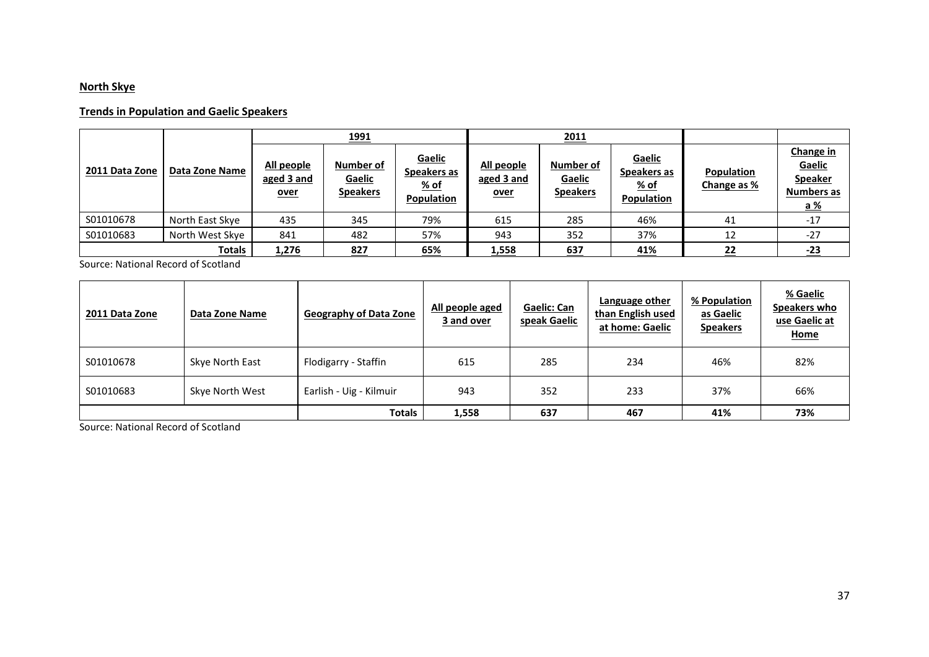## **North Skye**

### **Trends in Population and Gaelic Speakers**

|                |                 |                                         | <u> 1991 </u>                          |                                             |                                         | 2011                                   |                                                      |                                  |                                                                          |
|----------------|-----------------|-----------------------------------------|----------------------------------------|---------------------------------------------|-----------------------------------------|----------------------------------------|------------------------------------------------------|----------------------------------|--------------------------------------------------------------------------|
| 2011 Data Zone | Data Zone Name  | All people<br>aged 3 and<br><u>over</u> | Number of<br>Gaelic<br><b>Speakers</b> | Gaelic<br>Speakers as<br>% of<br>Population | All people<br>aged 3 and<br><u>over</u> | Number of<br>Gaelic<br><b>Speakers</b> | Gaelic<br>Speakers as<br>$%$ of<br><b>Population</b> | <b>Population</b><br>Change as % | Change in<br>Gaelic<br><b>Speaker</b><br><b>Numbers as</b><br><u>a %</u> |
| S01010678      | North East Skye | 435                                     | 345                                    | 79%                                         | 615                                     | 285                                    | 46%                                                  | 41                               | $-17$                                                                    |
| S01010683      | North West Skye | 841                                     | 482                                    | 57%                                         | 943                                     | 352                                    | 37%                                                  | 12                               | $-27$                                                                    |
|                | <b>Totals</b>   | 1,276                                   | 827                                    | <u>65%</u>                                  | 1,558                                   | 637                                    | <u>41%</u>                                           | 22                               | $-23$                                                                    |

Source: National Record of Scotland

| 2011 Data Zone | Data Zone Name  | <b>Geography of Data Zone</b> | All people aged<br>3 and over | Gaelic: Can<br>speak Gaelic | Language other<br>than English used<br>at home: Gaelic | % Population<br>as Gaelic<br><b>Speakers</b> | % Gaelic<br>Speakers who<br>use Gaelic at<br>Home |
|----------------|-----------------|-------------------------------|-------------------------------|-----------------------------|--------------------------------------------------------|----------------------------------------------|---------------------------------------------------|
| S01010678      | Skye North East | Flodigarry - Staffin          | 615                           | 285                         | 234                                                    | 46%                                          | 82%                                               |
| S01010683      | Skye North West | Earlish - Uig - Kilmuir       | 943                           | 352                         | 233                                                    | 37%                                          | 66%                                               |
|                |                 | <b>Totals</b>                 | 1,558                         | 637                         | 467                                                    | 41%                                          | 73%                                               |

Source: National Record of Scotland